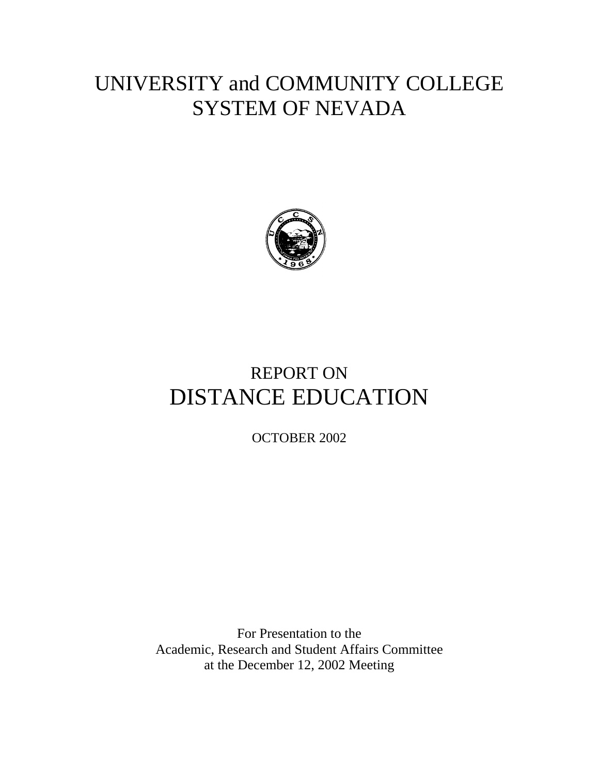# UNIVERSITY and COMMUNITY COLLEGE SYSTEM OF NEVADA



# REPORT ON DISTANCE EDUCATION

OCTOBER 2002

For Presentation to the Academic, Research and Student Affairs Committee at the December 12, 2002 Meeting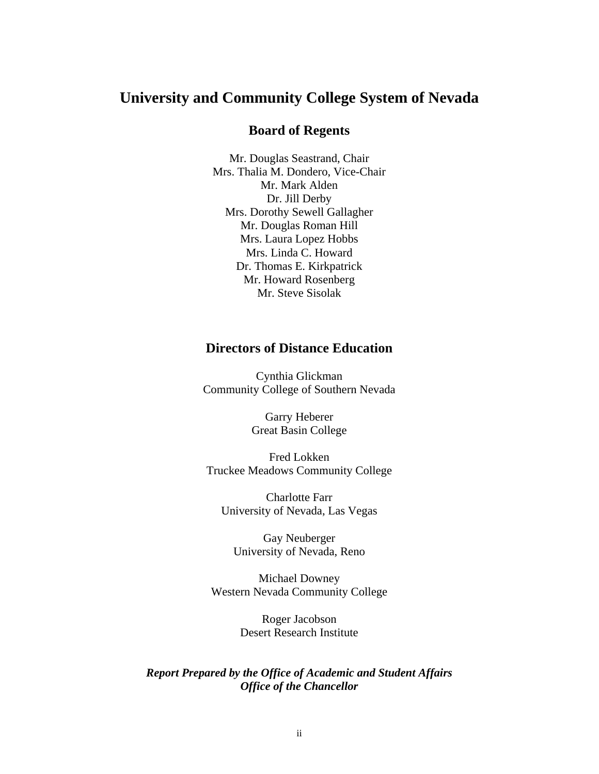# **University and Community College System of Nevada**

# **Board of Regents**

Mr. Douglas Seastrand, Chair Mrs. Thalia M. Dondero, Vice-Chair Mr. Mark Alden Dr. Jill Derby Mrs. Dorothy Sewell Gallagher Mr. Douglas Roman Hill Mrs. Laura Lopez Hobbs Mrs. Linda C. Howard Dr. Thomas E. Kirkpatrick Mr. Howard Rosenberg Mr. Steve Sisolak

# **Directors of Distance Education**

Cynthia Glickman Community College of Southern Nevada

> Garry Heberer Great Basin College

Fred Lokken Truckee Meadows Community College

Charlotte Farr University of Nevada, Las Vegas

Gay Neuberger University of Nevada, Reno

Michael Downey Western Nevada Community College

> Roger Jacobson Desert Research Institute

*Report Prepared by the Office of Academic and Student Affairs Office of the Chancellor*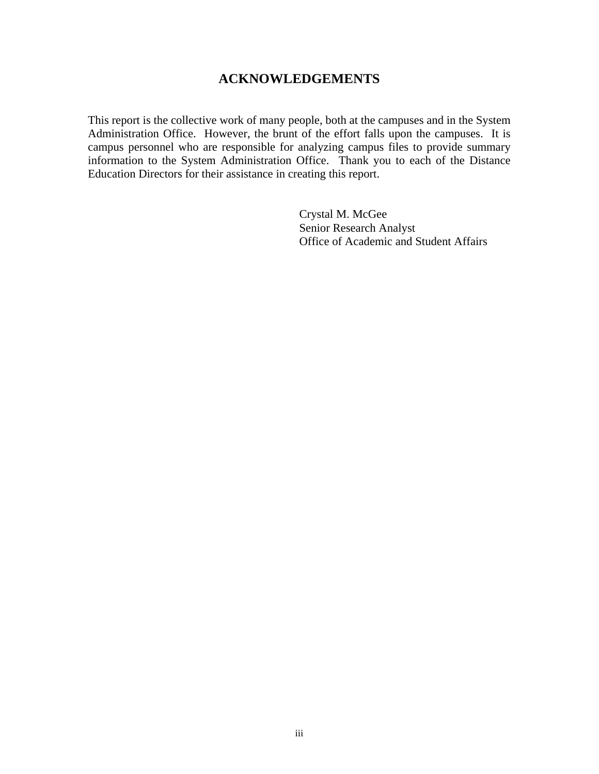# **ACKNOWLEDGEMENTS**

This report is the collective work of many people, both at the campuses and in the System Administration Office. However, the brunt of the effort falls upon the campuses. It is campus personnel who are responsible for analyzing campus files to provide summary information to the System Administration Office. Thank you to each of the Distance Education Directors for their assistance in creating this report.

> Crystal M. McGee Senior Research Analyst Office of Academic and Student Affairs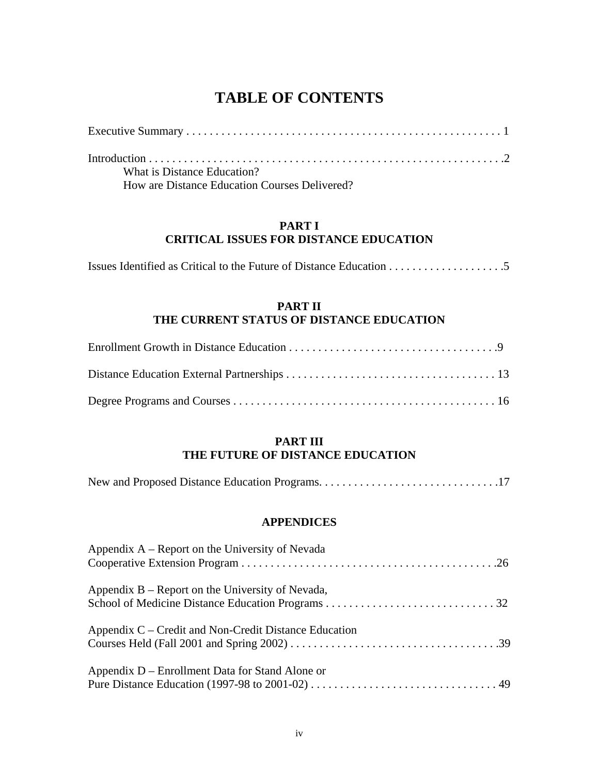# **TABLE OF CONTENTS**

| What is Distance Education?                   |  |
|-----------------------------------------------|--|
| How are Distance Education Courses Delivered? |  |

# **PART I CRITICAL ISSUES FOR DISTANCE EDUCATION**

# **PART II THE CURRENT STATUS OF DISTANCE EDUCATION**

# **PART III THE FUTURE OF DISTANCE EDUCATION**

|--|--|

### **APPENDICES**

| Appendix $A$ – Report on the University of Nevada     |
|-------------------------------------------------------|
| Appendix $B$ – Report on the University of Nevada,    |
| Appendix C – Credit and Non-Credit Distance Education |
| Appendix D – Enrollment Data for Stand Alone or       |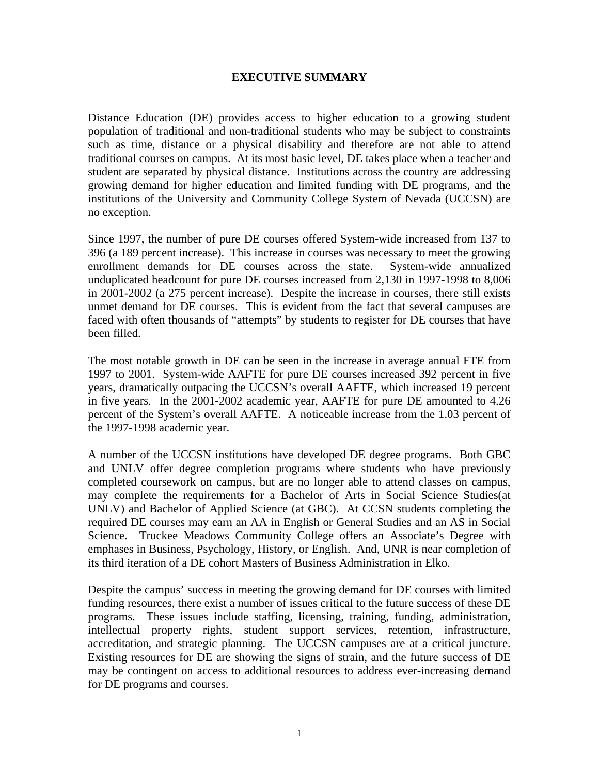### **EXECUTIVE SUMMARY**

Distance Education (DE) provides access to higher education to a growing student population of traditional and non-traditional students who may be subject to constraints such as time, distance or a physical disability and therefore are not able to attend traditional courses on campus. At its most basic level, DE takes place when a teacher and student are separated by physical distance. Institutions across the country are addressing growing demand for higher education and limited funding with DE programs, and the institutions of the University and Community College System of Nevada (UCCSN) are no exception.

Since 1997, the number of pure DE courses offered System-wide increased from 137 to 396 (a 189 percent increase). This increase in courses was necessary to meet the growing enrollment demands for DE courses across the state. System-wide annualized unduplicated headcount for pure DE courses increased from 2,130 in 1997-1998 to 8,006 in 2001-2002 (a 275 percent increase). Despite the increase in courses, there still exists unmet demand for DE courses. This is evident from the fact that several campuses are faced with often thousands of "attempts" by students to register for DE courses that have been filled.

The most notable growth in DE can be seen in the increase in average annual FTE from 1997 to 2001. System-wide AAFTE for pure DE courses increased 392 percent in five years, dramatically outpacing the UCCSN's overall AAFTE, which increased 19 percent in five years. In the 2001-2002 academic year, AAFTE for pure DE amounted to 4.26 percent of the System's overall AAFTE. A noticeable increase from the 1.03 percent of the 1997-1998 academic year.

A number of the UCCSN institutions have developed DE degree programs. Both GBC and UNLV offer degree completion programs where students who have previously completed coursework on campus, but are no longer able to attend classes on campus, may complete the requirements for a Bachelor of Arts in Social Science Studies(at UNLV) and Bachelor of Applied Science (at GBC). At CCSN students completing the required DE courses may earn an AA in English or General Studies and an AS in Social Science. Truckee Meadows Community College offers an Associate's Degree with emphases in Business, Psychology, History, or English. And, UNR is near completion of its third iteration of a DE cohort Masters of Business Administration in Elko.

Despite the campus' success in meeting the growing demand for DE courses with limited funding resources, there exist a number of issues critical to the future success of these DE programs. These issues include staffing, licensing, training, funding, administration, intellectual property rights, student support services, retention, infrastructure, accreditation, and strategic planning. The UCCSN campuses are at a critical juncture. Existing resources for DE are showing the signs of strain, and the future success of DE may be contingent on access to additional resources to address ever-increasing demand for DE programs and courses.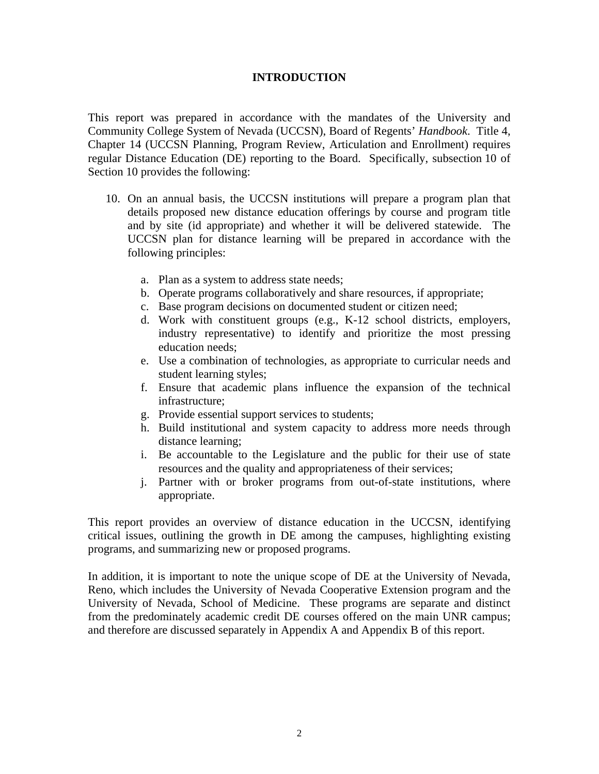# **INTRODUCTION**

This report was prepared in accordance with the mandates of the University and Community College System of Nevada (UCCSN), Board of Regents' *Handbook*. Title 4, Chapter 14 (UCCSN Planning, Program Review, Articulation and Enrollment) requires regular Distance Education (DE) reporting to the Board. Specifically, subsection 10 of Section 10 provides the following:

- 10. On an annual basis, the UCCSN institutions will prepare a program plan that details proposed new distance education offerings by course and program title and by site (id appropriate) and whether it will be delivered statewide. The UCCSN plan for distance learning will be prepared in accordance with the following principles:
	- a. Plan as a system to address state needs;
	- b. Operate programs collaboratively and share resources, if appropriate;
	- c. Base program decisions on documented student or citizen need;
	- d. Work with constituent groups (e.g., K-12 school districts, employers, industry representative) to identify and prioritize the most pressing education needs;
	- e. Use a combination of technologies, as appropriate to curricular needs and student learning styles;
	- f. Ensure that academic plans influence the expansion of the technical infrastructure;
	- g. Provide essential support services to students;
	- h. Build institutional and system capacity to address more needs through distance learning;
	- i. Be accountable to the Legislature and the public for their use of state resources and the quality and appropriateness of their services;
	- j. Partner with or broker programs from out-of-state institutions, where appropriate.

This report provides an overview of distance education in the UCCSN, identifying critical issues, outlining the growth in DE among the campuses, highlighting existing programs, and summarizing new or proposed programs.

In addition, it is important to note the unique scope of DE at the University of Nevada, Reno, which includes the University of Nevada Cooperative Extension program and the University of Nevada, School of Medicine. These programs are separate and distinct from the predominately academic credit DE courses offered on the main UNR campus; and therefore are discussed separately in Appendix A and Appendix B of this report.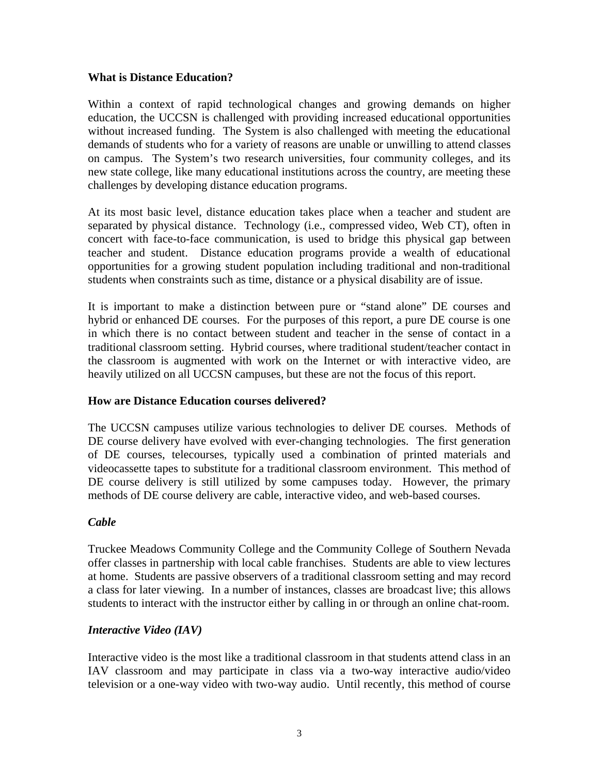### **What is Distance Education?**

Within a context of rapid technological changes and growing demands on higher education, the UCCSN is challenged with providing increased educational opportunities without increased funding. The System is also challenged with meeting the educational demands of students who for a variety of reasons are unable or unwilling to attend classes on campus. The System's two research universities, four community colleges, and its new state college, like many educational institutions across the country, are meeting these challenges by developing distance education programs.

At its most basic level, distance education takes place when a teacher and student are separated by physical distance. Technology (i.e., compressed video, Web CT), often in concert with face-to-face communication, is used to bridge this physical gap between teacher and student. Distance education programs provide a wealth of educational opportunities for a growing student population including traditional and non-traditional students when constraints such as time, distance or a physical disability are of issue.

It is important to make a distinction between pure or "stand alone" DE courses and hybrid or enhanced DE courses. For the purposes of this report, a pure DE course is one in which there is no contact between student and teacher in the sense of contact in a traditional classroom setting. Hybrid courses, where traditional student/teacher contact in the classroom is augmented with work on the Internet or with interactive video, are heavily utilized on all UCCSN campuses, but these are not the focus of this report.

# **How are Distance Education courses delivered?**

The UCCSN campuses utilize various technologies to deliver DE courses. Methods of DE course delivery have evolved with ever-changing technologies. The first generation of DE courses, telecourses, typically used a combination of printed materials and videocassette tapes to substitute for a traditional classroom environment. This method of DE course delivery is still utilized by some campuses today. However, the primary methods of DE course delivery are cable, interactive video, and web-based courses.

# *Cable*

Truckee Meadows Community College and the Community College of Southern Nevada offer classes in partnership with local cable franchises. Students are able to view lectures at home. Students are passive observers of a traditional classroom setting and may record a class for later viewing. In a number of instances, classes are broadcast live; this allows students to interact with the instructor either by calling in or through an online chat-room.

# *Interactive Video (IAV)*

Interactive video is the most like a traditional classroom in that students attend class in an IAV classroom and may participate in class via a two-way interactive audio/video television or a one-way video with two-way audio. Until recently, this method of course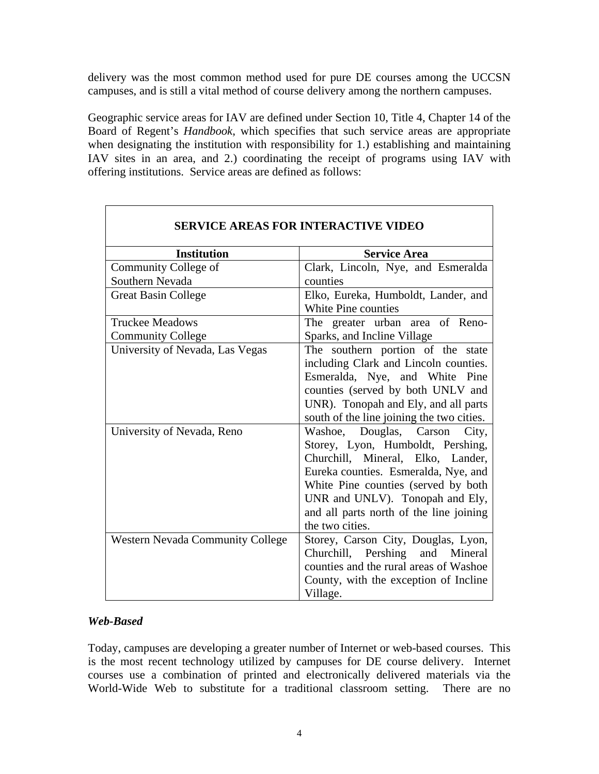delivery was the most common method used for pure DE courses among the UCCSN campuses, and is still a vital method of course delivery among the northern campuses.

Geographic service areas for IAV are defined under Section 10, Title 4, Chapter 14 of the Board of Regent's *Handbook*, which specifies that such service areas are appropriate when designating the institution with responsibility for 1.) establishing and maintaining IAV sites in an area, and 2.) coordinating the receipt of programs using IAV with offering institutions. Service areas are defined as follows:

٦

| <b>SERVICE AREAS FOR INTERACTIVE VIDEO</b> |                                                                                                                                                                                                                                                                                            |  |  |  |
|--------------------------------------------|--------------------------------------------------------------------------------------------------------------------------------------------------------------------------------------------------------------------------------------------------------------------------------------------|--|--|--|
| <b>Institution</b>                         | <b>Service Area</b>                                                                                                                                                                                                                                                                        |  |  |  |
| Community College of                       | Clark, Lincoln, Nye, and Esmeralda                                                                                                                                                                                                                                                         |  |  |  |
| Southern Nevada                            | counties                                                                                                                                                                                                                                                                                   |  |  |  |
| <b>Great Basin College</b>                 | Elko, Eureka, Humboldt, Lander, and<br>White Pine counties                                                                                                                                                                                                                                 |  |  |  |
| <b>Truckee Meadows</b>                     | The greater urban area of Reno-                                                                                                                                                                                                                                                            |  |  |  |
| <b>Community College</b>                   | Sparks, and Incline Village                                                                                                                                                                                                                                                                |  |  |  |
| University of Nevada, Las Vegas            | The southern portion of the state<br>including Clark and Lincoln counties.<br>Esmeralda, Nye, and White Pine<br>counties (served by both UNLV and<br>UNR). Tonopah and Ely, and all parts<br>south of the line joining the two cities.                                                     |  |  |  |
| University of Nevada, Reno                 | Washoe, Douglas, Carson<br>City,<br>Storey, Lyon, Humboldt, Pershing,<br>Churchill, Mineral, Elko, Lander,<br>Eureka counties. Esmeralda, Nye, and<br>White Pine counties (served by both<br>UNR and UNLV). Tonopah and Ely,<br>and all parts north of the line joining<br>the two cities. |  |  |  |
| <b>Western Nevada Community College</b>    | Storey, Carson City, Douglas, Lyon,<br>Churchill, Pershing<br>and<br>Mineral<br>counties and the rural areas of Washoe<br>County, with the exception of Incline<br>Village.                                                                                                                |  |  |  |

# *Web-Based*

 $\Gamma$ 

Today, campuses are developing a greater number of Internet or web-based courses. This is the most recent technology utilized by campuses for DE course delivery. Internet courses use a combination of printed and electronically delivered materials via the World-Wide Web to substitute for a traditional classroom setting. There are no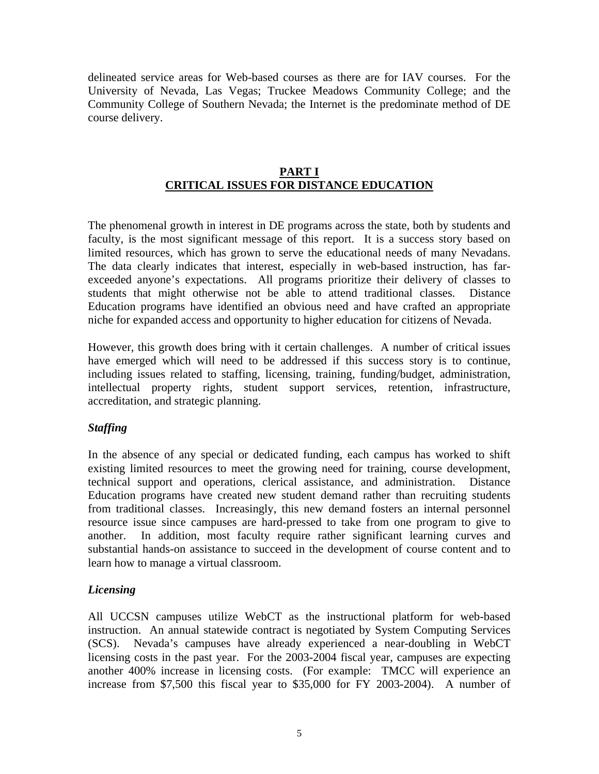delineated service areas for Web-based courses as there are for IAV courses. For the University of Nevada, Las Vegas; Truckee Meadows Community College; and the Community College of Southern Nevada; the Internet is the predominate method of DE course delivery.

# **PART I CRITICAL ISSUES FOR DISTANCE EDUCATION**

The phenomenal growth in interest in DE programs across the state, both by students and faculty, is the most significant message of this report. It is a success story based on limited resources, which has grown to serve the educational needs of many Nevadans. The data clearly indicates that interest, especially in web-based instruction, has farexceeded anyone's expectations. All programs prioritize their delivery of classes to students that might otherwise not be able to attend traditional classes. Distance Education programs have identified an obvious need and have crafted an appropriate niche for expanded access and opportunity to higher education for citizens of Nevada.

However, this growth does bring with it certain challenges. A number of critical issues have emerged which will need to be addressed if this success story is to continue, including issues related to staffing, licensing, training, funding/budget, administration, intellectual property rights, student support services, retention, infrastructure, accreditation, and strategic planning.

# *Staffing*

In the absence of any special or dedicated funding, each campus has worked to shift existing limited resources to meet the growing need for training, course development, technical support and operations, clerical assistance, and administration. Distance Education programs have created new student demand rather than recruiting students from traditional classes. Increasingly, this new demand fosters an internal personnel resource issue since campuses are hard-pressed to take from one program to give to another. In addition, most faculty require rather significant learning curves and substantial hands-on assistance to succeed in the development of course content and to learn how to manage a virtual classroom.

# *Licensing*

All UCCSN campuses utilize WebCT as the instructional platform for web-based instruction. An annual statewide contract is negotiated by System Computing Services (SCS). Nevada's campuses have already experienced a near-doubling in WebCT licensing costs in the past year. For the 2003-2004 fiscal year, campuses are expecting another 400% increase in licensing costs. (For example: TMCC will experience an increase from \$7,500 this fiscal year to \$35,000 for FY 2003-2004). A number of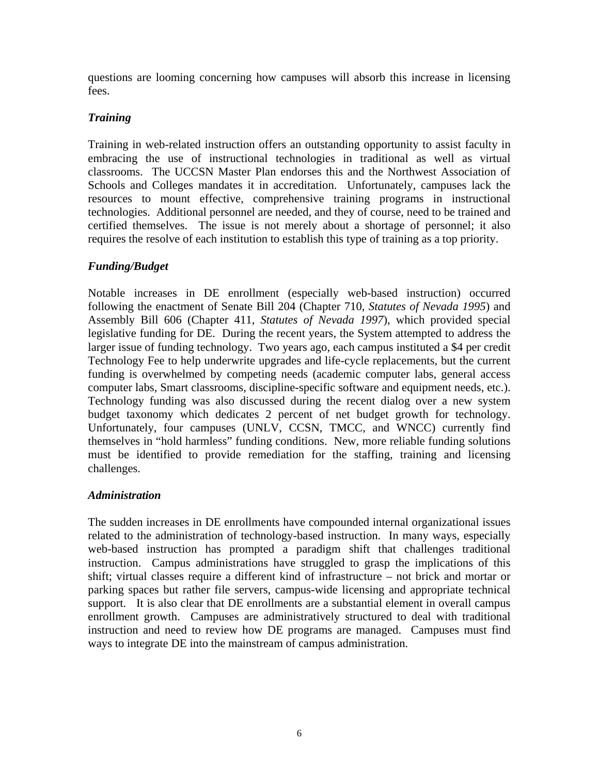questions are looming concerning how campuses will absorb this increase in licensing fees.

# *Training*

Training in web-related instruction offers an outstanding opportunity to assist faculty in embracing the use of instructional technologies in traditional as well as virtual classrooms. The UCCSN Master Plan endorses this and the Northwest Association of Schools and Colleges mandates it in accreditation. Unfortunately, campuses lack the resources to mount effective, comprehensive training programs in instructional technologies. Additional personnel are needed, and they of course, need to be trained and certified themselves. The issue is not merely about a shortage of personnel; it also requires the resolve of each institution to establish this type of training as a top priority.

# *Funding/Budget*

Notable increases in DE enrollment (especially web-based instruction) occurred following the enactment of Senate Bill 204 (Chapter 710, *Statutes of Nevada 1995*) and Assembly Bill 606 (Chapter 411, *Statutes of Nevada 1997*), which provided special legislative funding for DE. During the recent years, the System attempted to address the larger issue of funding technology. Two years ago, each campus instituted a \$4 per credit Technology Fee to help underwrite upgrades and life-cycle replacements, but the current funding is overwhelmed by competing needs (academic computer labs, general access computer labs, Smart classrooms, discipline-specific software and equipment needs, etc.). Technology funding was also discussed during the recent dialog over a new system budget taxonomy which dedicates 2 percent of net budget growth for technology. Unfortunately, four campuses (UNLV, CCSN, TMCC, and WNCC) currently find themselves in "hold harmless" funding conditions. New, more reliable funding solutions must be identified to provide remediation for the staffing, training and licensing challenges.

# *Administration*

The sudden increases in DE enrollments have compounded internal organizational issues related to the administration of technology-based instruction. In many ways, especially web-based instruction has prompted a paradigm shift that challenges traditional instruction. Campus administrations have struggled to grasp the implications of this shift; virtual classes require a different kind of infrastructure – not brick and mortar or parking spaces but rather file servers, campus-wide licensing and appropriate technical support. It is also clear that DE enrollments are a substantial element in overall campus enrollment growth. Campuses are administratively structured to deal with traditional instruction and need to review how DE programs are managed. Campuses must find ways to integrate DE into the mainstream of campus administration.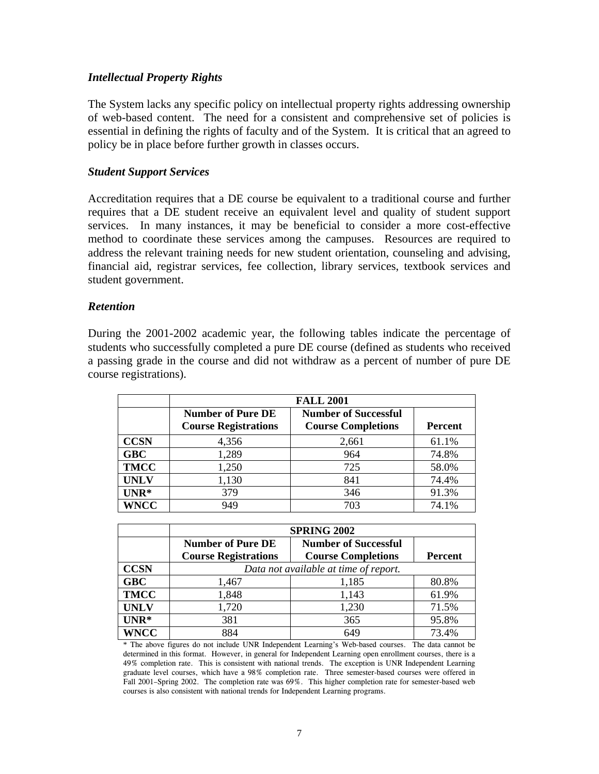### *Intellectual Property Rights*

The System lacks any specific policy on intellectual property rights addressing ownership of web-based content. The need for a consistent and comprehensive set of policies is essential in defining the rights of faculty and of the System. It is critical that an agreed to policy be in place before further growth in classes occurs.

### *Student Support Services*

Accreditation requires that a DE course be equivalent to a traditional course and further requires that a DE student receive an equivalent level and quality of student support services. In many instances, it may be beneficial to consider a more cost-effective method to coordinate these services among the campuses. Resources are required to address the relevant training needs for new student orientation, counseling and advising, financial aid, registrar services, fee collection, library services, textbook services and student government.

### *Retention*

During the 2001-2002 academic year, the following tables indicate the percentage of students who successfully completed a pure DE course (defined as students who received a passing grade in the course and did not withdraw as a percent of number of pure DE course registrations).

|             | <b>FALL 2001</b>                                        |                                                          |                |  |  |
|-------------|---------------------------------------------------------|----------------------------------------------------------|----------------|--|--|
|             | <b>Number of Pure DE</b><br><b>Course Registrations</b> | <b>Number of Successful</b><br><b>Course Completions</b> | <b>Percent</b> |  |  |
| <b>CCSN</b> | 4,356                                                   | 2,661                                                    | 61.1%          |  |  |
| <b>GBC</b>  | 1,289                                                   | 964                                                      | 74.8%          |  |  |
| <b>TMCC</b> | 1,250                                                   | 725                                                      | 58.0%          |  |  |
| <b>UNLV</b> | 1,130                                                   | 841                                                      | 74.4%          |  |  |
| $UNR*$      | 379                                                     | 346                                                      | 91.3%          |  |  |
| <b>WNCC</b> | 949                                                     | 703                                                      | 74.1%          |  |  |

|             | <b>SPRING 2002</b>          |                                       |                |  |  |
|-------------|-----------------------------|---------------------------------------|----------------|--|--|
|             | <b>Number of Pure DE</b>    | <b>Number of Successful</b>           |                |  |  |
|             | <b>Course Registrations</b> | <b>Course Completions</b>             | <b>Percent</b> |  |  |
| <b>CCSN</b> |                             | Data not available at time of report. |                |  |  |
| <b>GBC</b>  | 1,467                       | 1,185                                 | 80.8%          |  |  |
| <b>TMCC</b> | 1,848                       | 1,143                                 | 61.9%          |  |  |
| <b>UNLV</b> | 1,720                       | 1,230                                 | 71.5%          |  |  |
| $UNR*$      | 381                         | 365                                   | 95.8%          |  |  |
| <b>WNCC</b> | 884                         | 649                                   | 73.4%          |  |  |

<sup>\*</sup> The above figures do not include UNR Independent Learning's Web-based courses. The data cannot be determined in this format. However, in general for Independent Learning open enrollment courses, there is a 49% completion rate. This is consistent with national trends. The exception is UNR Independent Learning graduate level courses, which have a 98% completion rate. Three semester-based courses were offered in Fall 2001–Spring 2002. The completion rate was 69%. This higher completion rate for semester-based web courses is also consistent with national trends for Independent Learning programs.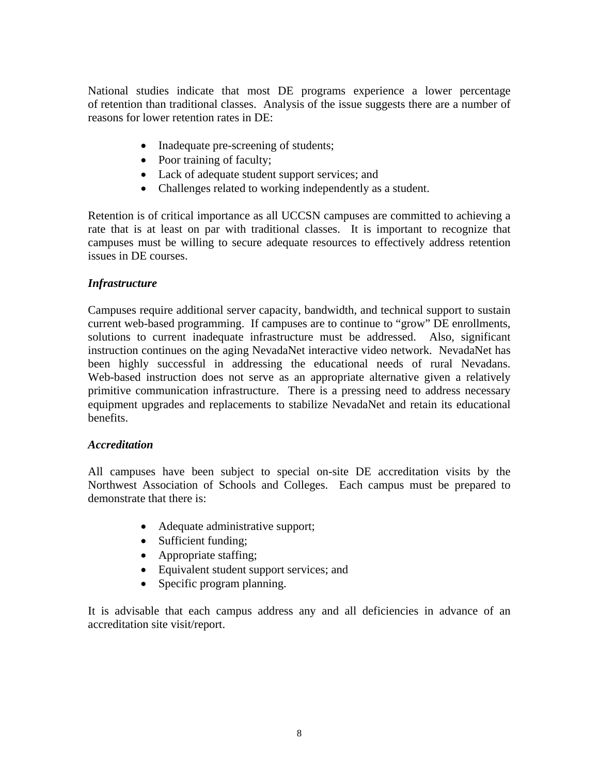National studies indicate that most DE programs experience a lower percentage of retention than traditional classes. Analysis of the issue suggests there are a number of reasons for lower retention rates in DE:

- Inadequate pre-screening of students;
- Poor training of faculty;
- Lack of adequate student support services; and
- Challenges related to working independently as a student.

Retention is of critical importance as all UCCSN campuses are committed to achieving a rate that is at least on par with traditional classes. It is important to recognize that campuses must be willing to secure adequate resources to effectively address retention issues in DE courses.

# *Infrastructure*

Campuses require additional server capacity, bandwidth, and technical support to sustain current web-based programming. If campuses are to continue to "grow" DE enrollments, solutions to current inadequate infrastructure must be addressed. Also, significant instruction continues on the aging NevadaNet interactive video network. NevadaNet has been highly successful in addressing the educational needs of rural Nevadans. Web-based instruction does not serve as an appropriate alternative given a relatively primitive communication infrastructure. There is a pressing need to address necessary equipment upgrades and replacements to stabilize NevadaNet and retain its educational benefits.

### *Accreditation*

All campuses have been subject to special on-site DE accreditation visits by the Northwest Association of Schools and Colleges. Each campus must be prepared to demonstrate that there is:

- Adequate administrative support;
- Sufficient funding;
- Appropriate staffing;
- Equivalent student support services; and
- Specific program planning.

It is advisable that each campus address any and all deficiencies in advance of an accreditation site visit/report.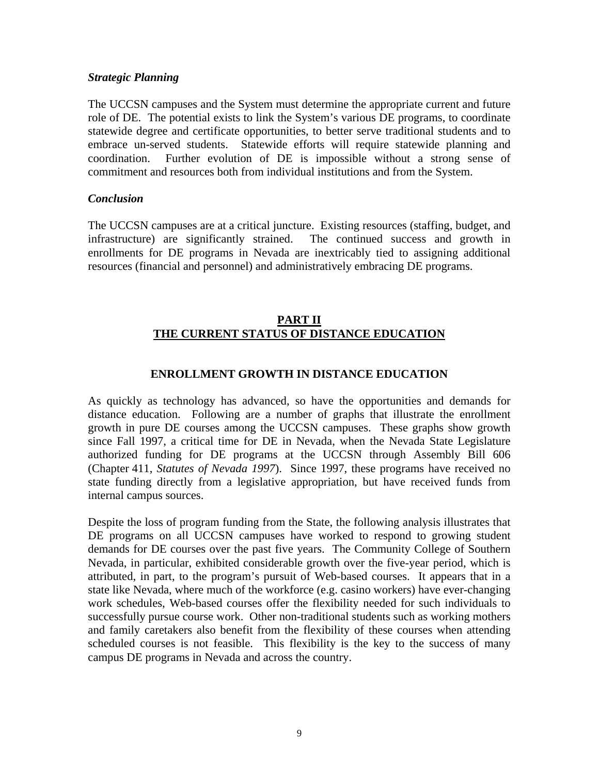### *Strategic Planning*

The UCCSN campuses and the System must determine the appropriate current and future role of DE. The potential exists to link the System's various DE programs, to coordinate statewide degree and certificate opportunities, to better serve traditional students and to embrace un-served students. Statewide efforts will require statewide planning and coordination. Further evolution of DE is impossible without a strong sense of commitment and resources both from individual institutions and from the System.

### *Conclusion*

The UCCSN campuses are at a critical juncture. Existing resources (staffing, budget, and infrastructure) are significantly strained. The continued success and growth in enrollments for DE programs in Nevada are inextricably tied to assigning additional resources (financial and personnel) and administratively embracing DE programs.

### **PART II THE CURRENT STATUS OF DISTANCE EDUCATION**

### **ENROLLMENT GROWTH IN DISTANCE EDUCATION**

As quickly as technology has advanced, so have the opportunities and demands for distance education. Following are a number of graphs that illustrate the enrollment growth in pure DE courses among the UCCSN campuses. These graphs show growth since Fall 1997, a critical time for DE in Nevada, when the Nevada State Legislature authorized funding for DE programs at the UCCSN through Assembly Bill 606 (Chapter 411, *Statutes of Nevada 1997*). Since 1997, these programs have received no state funding directly from a legislative appropriation, but have received funds from internal campus sources.

Despite the loss of program funding from the State, the following analysis illustrates that DE programs on all UCCSN campuses have worked to respond to growing student demands for DE courses over the past five years. The Community College of Southern Nevada, in particular, exhibited considerable growth over the five-year period, which is attributed, in part, to the program's pursuit of Web-based courses. It appears that in a state like Nevada, where much of the workforce (e.g. casino workers) have ever-changing work schedules, Web-based courses offer the flexibility needed for such individuals to successfully pursue course work. Other non-traditional students such as working mothers and family caretakers also benefit from the flexibility of these courses when attending scheduled courses is not feasible. This flexibility is the key to the success of many campus DE programs in Nevada and across the country.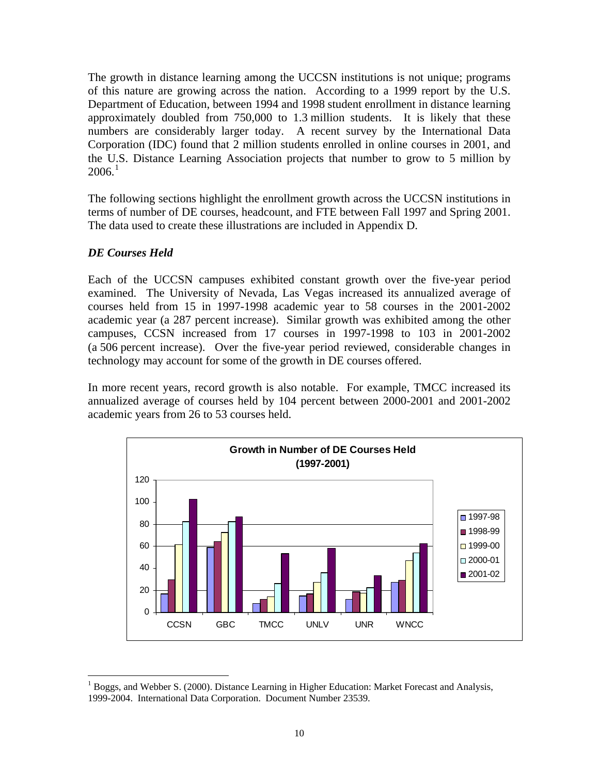The growth in distance learning among the UCCSN institutions is not unique; programs of this nature are growing across the nation. According to a 1999 report by the U.S. Department of Education, between 1994 and 1998 student enrollment in distance learning approximately doubled from 750,000 to 1.3 million students. It is likely that these numbers are considerably larger today. A recent survey by the International Data Corporation (IDC) found that 2 million students enrolled in online courses in 2001, and the U.S. Distance Learning Association projects that number to grow to 5 million by  $2006.<sup>1</sup>$  $2006.<sup>1</sup>$  $2006.<sup>1</sup>$ 

The following sections highlight the enrollment growth across the UCCSN institutions in terms of number of DE courses, headcount, and FTE between Fall 1997 and Spring 2001. The data used to create these illustrations are included in Appendix D.

# *DE Courses Held*

Each of the UCCSN campuses exhibited constant growth over the five-year period examined. The University of Nevada, Las Vegas increased its annualized average of courses held from 15 in 1997-1998 academic year to 58 courses in the 2001-2002 academic year (a 287 percent increase). Similar growth was exhibited among the other campuses, CCSN increased from 17 courses in 1997-1998 to 103 in 2001-2002 (a 506 percent increase). Over the five-year period reviewed, considerable changes in technology may account for some of the growth in DE courses offered.

In more recent years, record growth is also notable. For example, TMCC increased its annualized average of courses held by 104 percent between 2000-2001 and 2001-2002 academic years from 26 to 53 courses held.



<span id="page-13-0"></span> $\overline{a}$ <sup>1</sup> Boggs, and Webber S. (2000). Distance Learning in Higher Education: Market Forecast and Analysis, 1999-2004. International Data Corporation. Document Number 23539.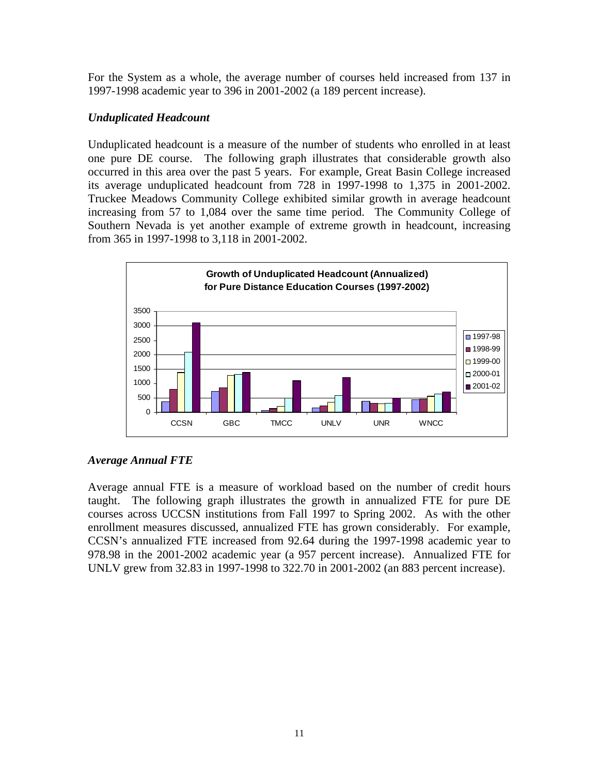For the System as a whole, the average number of courses held increased from 137 in 1997-1998 academic year to 396 in 2001-2002 (a 189 percent increase).

### *Unduplicated Headcount*

Unduplicated headcount is a measure of the number of students who enrolled in at least one pure DE course. The following graph illustrates that considerable growth also occurred in this area over the past 5 years. For example, Great Basin College increased its average unduplicated headcount from 728 in 1997-1998 to 1,375 in 2001-2002. Truckee Meadows Community College exhibited similar growth in average headcount increasing from 57 to 1,084 over the same time period. The Community College of Southern Nevada is yet another example of extreme growth in headcount, increasing from 365 in 1997-1998 to 3,118 in 2001-2002.



# *Average Annual FTE*

Average annual FTE is a measure of workload based on the number of credit hours taught. The following graph illustrates the growth in annualized FTE for pure DE courses across UCCSN institutions from Fall 1997 to Spring 2002. As with the other enrollment measures discussed, annualized FTE has grown considerably. For example, CCSN's annualized FTE increased from 92.64 during the 1997-1998 academic year to 978.98 in the 2001-2002 academic year (a 957 percent increase). Annualized FTE for UNLV grew from 32.83 in 1997-1998 to 322.70 in 2001-2002 (an 883 percent increase).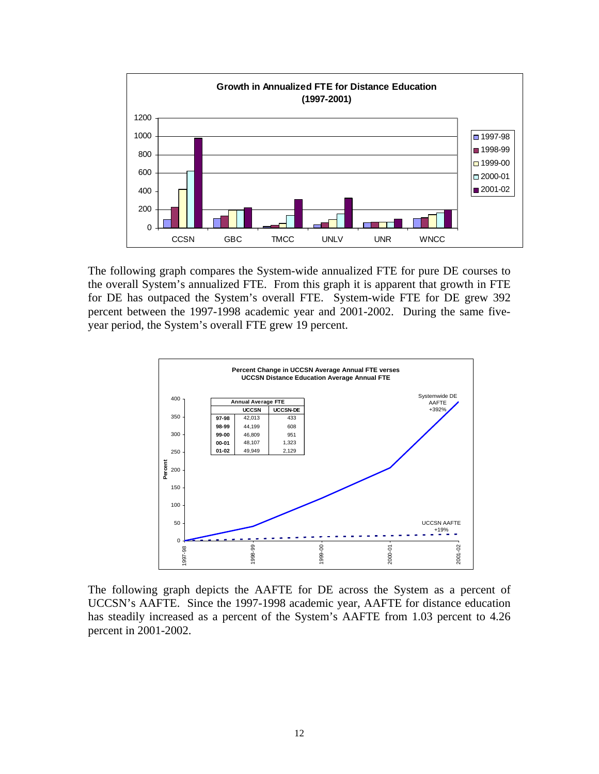

The following graph compares the System-wide annualized FTE for pure DE courses to the overall System's annualized FTE. From this graph it is apparent that growth in FTE for DE has outpaced the System's overall FTE. System-wide FTE for DE grew 392 percent between the 1997-1998 academic year and 2001-2002. During the same fiveyear period, the System's overall FTE grew 19 percent.



The following graph depicts the AAFTE for DE across the System as a percent of UCCSN's AAFTE. Since the 1997-1998 academic year, AAFTE for distance education has steadily increased as a percent of the System's AAFTE from 1.03 percent to 4.26 percent in 2001-2002.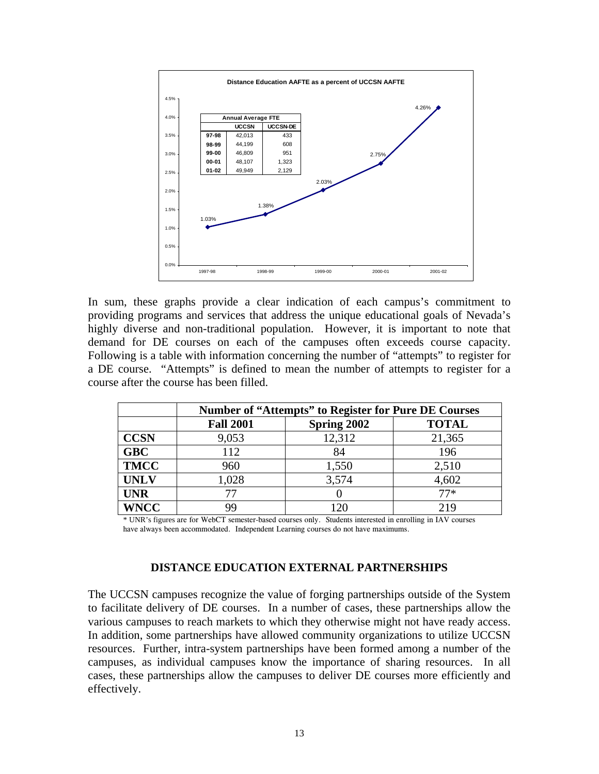

In sum, these graphs provide a clear indication of each campus's commitment to providing programs and services that address the unique educational goals of Nevada's highly diverse and non-traditional population. However, it is important to note that demand for DE courses on each of the campuses often exceeds course capacity. Following is a table with information concerning the number of "attempts" to register for a DE course. "Attempts" is defined to mean the number of attempts to register for a course after the course has been filled.

|             | <b>Number of "Attempts" to Register for Pure DE Courses</b> |             |              |  |
|-------------|-------------------------------------------------------------|-------------|--------------|--|
|             | <b>Fall 2001</b>                                            | Spring 2002 | <b>TOTAL</b> |  |
| <b>CCSN</b> | 9,053                                                       | 12,312      | 21,365       |  |
| <b>GBC</b>  | 112                                                         | 84          | 196          |  |
| <b>TMCC</b> | 960                                                         | 1,550       | 2,510        |  |
| <b>UNLV</b> | 1,028                                                       | 3,574       | 4,602        |  |
| <b>UNR</b>  |                                                             |             | $77*$        |  |
| <b>WNCC</b> | 99                                                          | 120         | 219          |  |

\* UNR's figures are for WebCT semester-based courses only. Students interested in enrolling in IAV courses have always been accommodated. Independent Learning courses do not have maximums.

### **DISTANCE EDUCATION EXTERNAL PARTNERSHIPS**

The UCCSN campuses recognize the value of forging partnerships outside of the System to facilitate delivery of DE courses. In a number of cases, these partnerships allow the various campuses to reach markets to which they otherwise might not have ready access. In addition, some partnerships have allowed community organizations to utilize UCCSN resources. Further, intra-system partnerships have been formed among a number of the campuses, as individual campuses know the importance of sharing resources. In all cases, these partnerships allow the campuses to deliver DE courses more efficiently and effectively.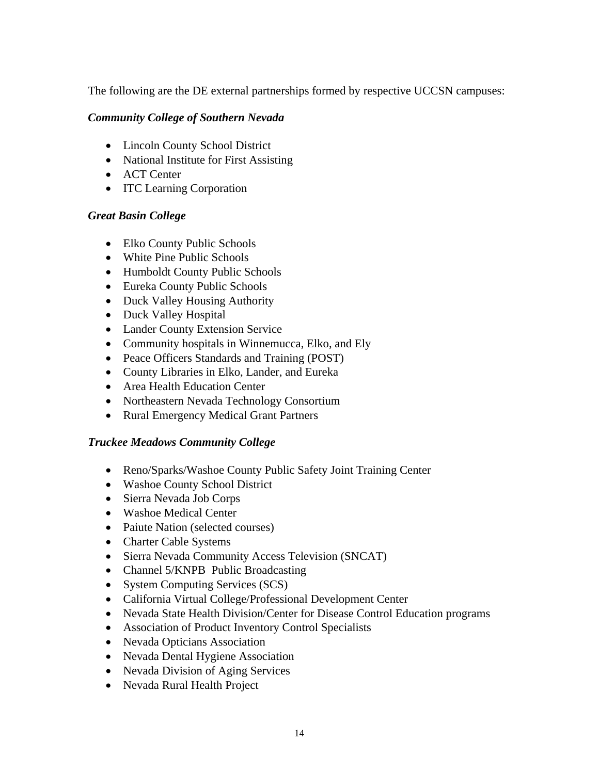The following are the DE external partnerships formed by respective UCCSN campuses:

# *Community College of Southern Nevada*

- Lincoln County School District
- National Institute for First Assisting
- ACT Center
- **ITC Learning Corporation**

# *Great Basin College*

- Elko County Public Schools
- White Pine Public Schools
- Humboldt County Public Schools
- Eureka County Public Schools
- Duck Valley Housing Authority
- Duck Valley Hospital
- Lander County Extension Service
- Community hospitals in Winnemucca, Elko, and Ely
- Peace Officers Standards and Training (POST)
- County Libraries in Elko, Lander, and Eureka
- Area Health Education Center
- Northeastern Nevada Technology Consortium
- Rural Emergency Medical Grant Partners

# *Truckee Meadows Community College*

- Reno/Sparks/Washoe County Public Safety Joint Training Center
- Washoe County School District
- Sierra Nevada Job Corps
- Washoe Medical Center
- Paiute Nation (selected courses)
- Charter Cable Systems
- Sierra Nevada Community Access Television (SNCAT)
- Channel 5/KNPB Public Broadcasting
- System Computing Services (SCS)
- California Virtual College/Professional Development Center
- Nevada State Health Division/Center for Disease Control Education programs
- Association of Product Inventory Control Specialists
- Nevada Opticians Association
- Nevada Dental Hygiene Association
- Nevada Division of Aging Services
- Nevada Rural Health Project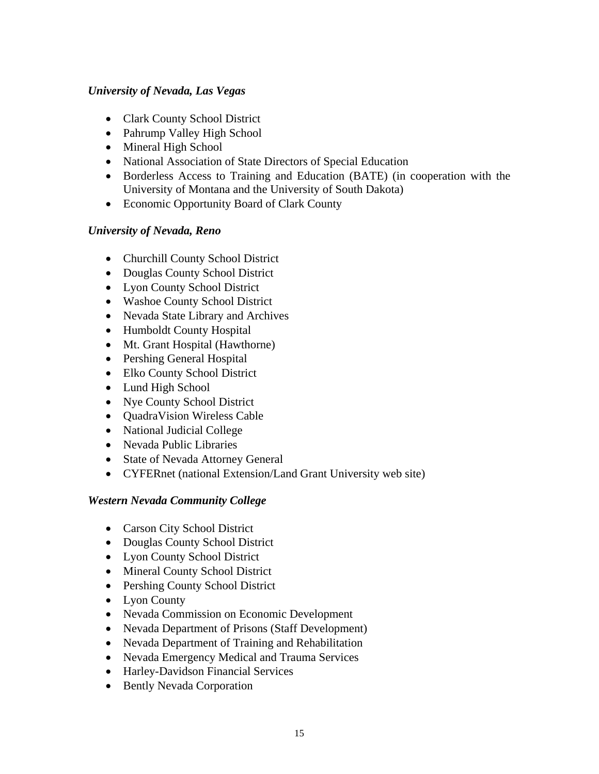# *University of Nevada, Las Vegas*

- Clark County School District
- Pahrump Valley High School
- Mineral High School
- National Association of State Directors of Special Education
- Borderless Access to Training and Education (BATE) (in cooperation with the University of Montana and the University of South Dakota)
- Economic Opportunity Board of Clark County

# *University of Nevada, Reno*

- Churchill County School District
- Douglas County School District
- Lyon County School District
- Washoe County School District
- Nevada State Library and Archives
- Humboldt County Hospital
- Mt. Grant Hospital (Hawthorne)
- Pershing General Hospital
- Elko County School District
- Lund High School
- Nye County School District
- QuadraVision Wireless Cable
- National Judicial College
- Nevada Public Libraries
- State of Nevada Attorney General
- CYFERnet (national Extension/Land Grant University web site)

# *Western Nevada Community College*

- Carson City School District
- Douglas County School District
- Lyon County School District
- Mineral County School District
- Pershing County School District
- Lyon County
- Nevada Commission on Economic Development
- Nevada Department of Prisons (Staff Development)
- Nevada Department of Training and Rehabilitation
- Nevada Emergency Medical and Trauma Services
- Harley-Davidson Financial Services
- Bently Nevada Corporation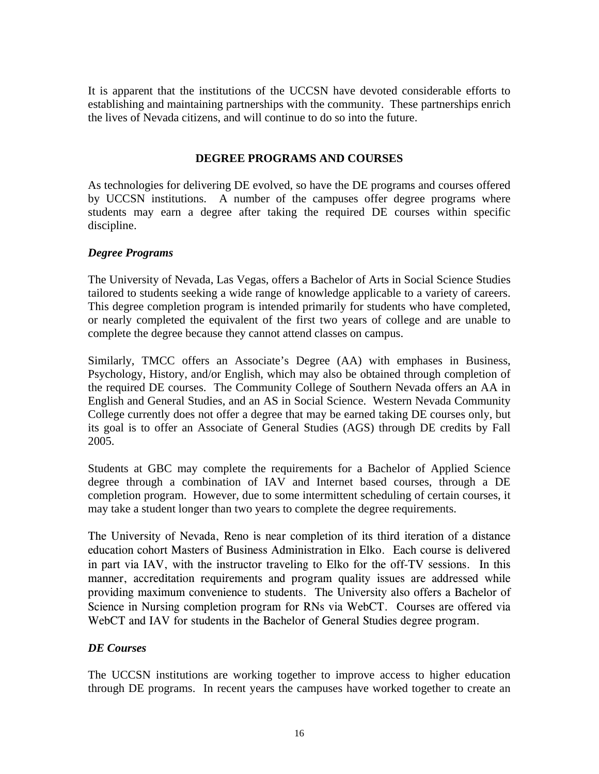It is apparent that the institutions of the UCCSN have devoted considerable efforts to establishing and maintaining partnerships with the community. These partnerships enrich the lives of Nevada citizens, and will continue to do so into the future.

# **DEGREE PROGRAMS AND COURSES**

As technologies for delivering DE evolved, so have the DE programs and courses offered by UCCSN institutions. A number of the campuses offer degree programs where students may earn a degree after taking the required DE courses within specific discipline.

# *Degree Programs*

The University of Nevada, Las Vegas, offers a Bachelor of Arts in Social Science Studies tailored to students seeking a wide range of knowledge applicable to a variety of careers. This degree completion program is intended primarily for students who have completed, or nearly completed the equivalent of the first two years of college and are unable to complete the degree because they cannot attend classes on campus.

Similarly, TMCC offers an Associate's Degree (AA) with emphases in Business, Psychology, History, and/or English, which may also be obtained through completion of the required DE courses. The Community College of Southern Nevada offers an AA in English and General Studies, and an AS in Social Science. Western Nevada Community College currently does not offer a degree that may be earned taking DE courses only, but its goal is to offer an Associate of General Studies (AGS) through DE credits by Fall 2005.

Students at GBC may complete the requirements for a Bachelor of Applied Science degree through a combination of IAV and Internet based courses, through a DE completion program. However, due to some intermittent scheduling of certain courses, it may take a student longer than two years to complete the degree requirements.

The University of Nevada, Reno is near completion of its third iteration of a distance education cohort Masters of Business Administration in Elko. Each course is delivered in part via IAV, with the instructor traveling to Elko for the off-TV sessions. In this manner, accreditation requirements and program quality issues are addressed while providing maximum convenience to students. The University also offers a Bachelor of Science in Nursing completion program for RNs via WebCT. Courses are offered via WebCT and IAV for students in the Bachelor of General Studies degree program.

### *DE Courses*

The UCCSN institutions are working together to improve access to higher education through DE programs. In recent years the campuses have worked together to create an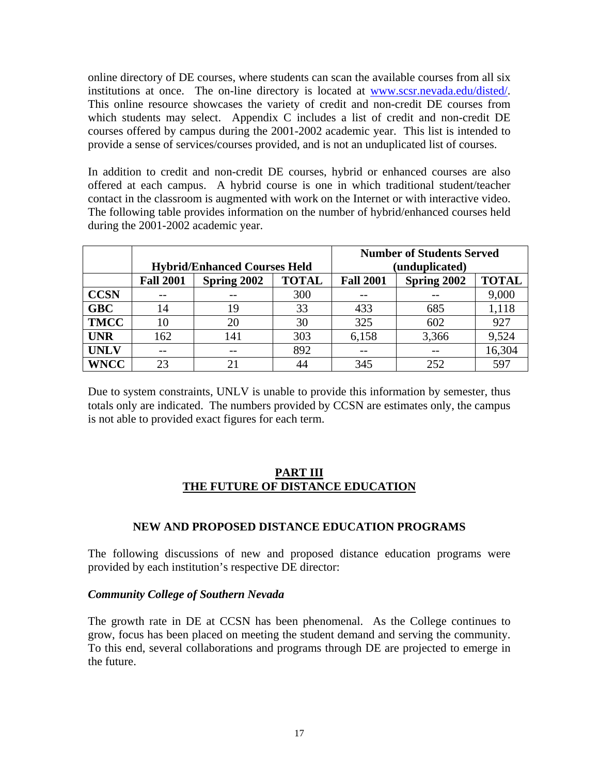online directory of DE courses, where students can scan the available courses from all six institutions at once. The on-line directory is located at [www.scsr.nevada.edu/disted/.](http://www.scsr.nevada.edu/disted/) This online resource showcases the variety of credit and non-credit DE courses from which students may select. Appendix C includes a list of credit and non-credit DE courses offered by campus during the 2001-2002 academic year. This list is intended to provide a sense of services/courses provided, and is not an unduplicated list of courses.

In addition to credit and non-credit DE courses, hybrid or enhanced courses are also offered at each campus. A hybrid course is one in which traditional student/teacher contact in the classroom is augmented with work on the Internet or with interactive video. The following table provides information on the number of hybrid/enhanced courses held during the 2001-2002 academic year.

|             |                                     |             | <b>Number of Students Served</b> |                  |             |              |
|-------------|-------------------------------------|-------------|----------------------------------|------------------|-------------|--------------|
|             | <b>Hybrid/Enhanced Courses Held</b> |             |                                  | (unduplicated)   |             |              |
|             | <b>Fall 2001</b>                    | Spring 2002 | <b>TOTAL</b>                     | <b>Fall 2001</b> | Spring 2002 | <b>TOTAL</b> |
| <b>CCSN</b> |                                     |             | 300                              |                  |             | 9,000        |
| <b>GBC</b>  | 14                                  | 19          | 33                               | 433              | 685         | 1,118        |
| <b>TMCC</b> | 10                                  | 20          | 30                               | 325              | 602         | 927          |
| <b>UNR</b>  | 162                                 | 141         | 303                              | 6,158            | 3,366       | 9,524        |
| <b>UNLV</b> |                                     |             | 892                              |                  |             | 16,304       |
| <b>WNCC</b> | 23                                  |             | 44                               | 345              | 252         | 597          |

Due to system constraints, UNLV is unable to provide this information by semester, thus totals only are indicated. The numbers provided by CCSN are estimates only, the campus is not able to provided exact figures for each term.

### **PART III THE FUTURE OF DISTANCE EDUCATION**

### **NEW AND PROPOSED DISTANCE EDUCATION PROGRAMS**

The following discussions of new and proposed distance education programs were provided by each institution's respective DE director:

### *Community College of Southern Nevada*

The growth rate in DE at CCSN has been phenomenal. As the College continues to grow, focus has been placed on meeting the student demand and serving the community. To this end, several collaborations and programs through DE are projected to emerge in the future.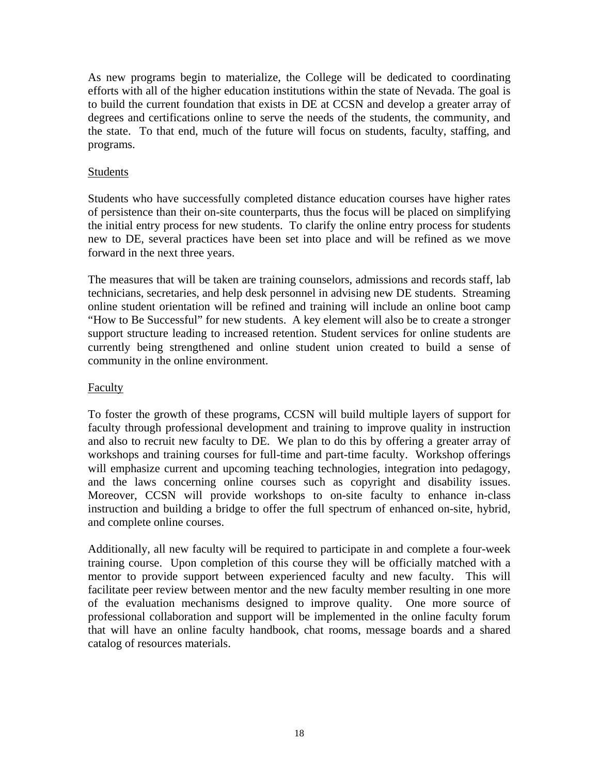As new programs begin to materialize, the College will be dedicated to coordinating efforts with all of the higher education institutions within the state of Nevada. The goal is to build the current foundation that exists in DE at CCSN and develop a greater array of degrees and certifications online to serve the needs of the students, the community, and the state. To that end, much of the future will focus on students, faculty, staffing, and programs.

# Students

Students who have successfully completed distance education courses have higher rates of persistence than their on-site counterparts, thus the focus will be placed on simplifying the initial entry process for new students. To clarify the online entry process for students new to DE, several practices have been set into place and will be refined as we move forward in the next three years.

The measures that will be taken are training counselors, admissions and records staff, lab technicians, secretaries, and help desk personnel in advising new DE students. Streaming online student orientation will be refined and training will include an online boot camp "How to Be Successful" for new students. A key element will also be to create a stronger support structure leading to increased retention. Student services for online students are currently being strengthened and online student union created to build a sense of community in the online environment.

### Faculty

To foster the growth of these programs, CCSN will build multiple layers of support for faculty through professional development and training to improve quality in instruction and also to recruit new faculty to DE. We plan to do this by offering a greater array of workshops and training courses for full-time and part-time faculty. Workshop offerings will emphasize current and upcoming teaching technologies, integration into pedagogy, and the laws concerning online courses such as copyright and disability issues. Moreover, CCSN will provide workshops to on-site faculty to enhance in-class instruction and building a bridge to offer the full spectrum of enhanced on-site, hybrid, and complete online courses.

Additionally, all new faculty will be required to participate in and complete a four-week training course. Upon completion of this course they will be officially matched with a mentor to provide support between experienced faculty and new faculty. This will facilitate peer review between mentor and the new faculty member resulting in one more of the evaluation mechanisms designed to improve quality. One more source of professional collaboration and support will be implemented in the online faculty forum that will have an online faculty handbook, chat rooms, message boards and a shared catalog of resources materials.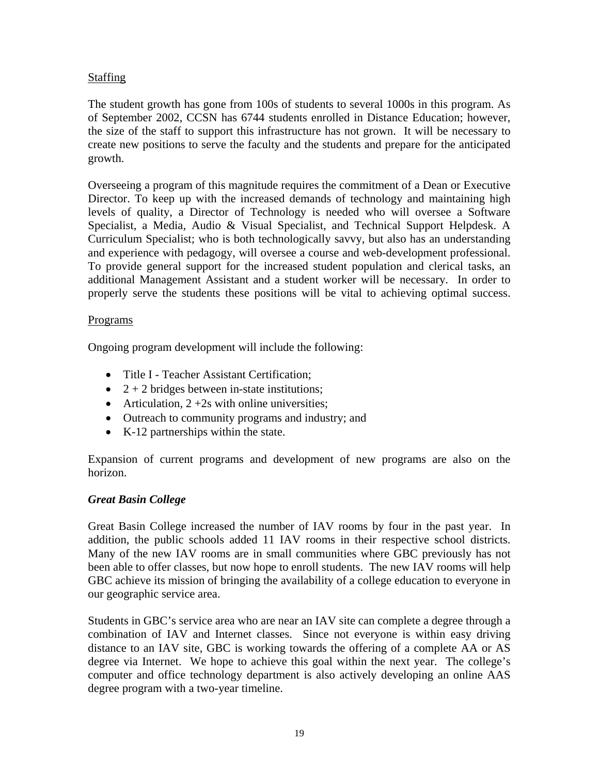# Staffing

The student growth has gone from 100s of students to several 1000s in this program. As of September 2002, CCSN has 6744 students enrolled in Distance Education; however, the size of the staff to support this infrastructure has not grown. It will be necessary to create new positions to serve the faculty and the students and prepare for the anticipated growth.

Overseeing a program of this magnitude requires the commitment of a Dean or Executive Director. To keep up with the increased demands of technology and maintaining high levels of quality, a Director of Technology is needed who will oversee a Software Specialist, a Media, Audio & Visual Specialist, and Technical Support Helpdesk. A Curriculum Specialist; who is both technologically savvy, but also has an understanding and experience with pedagogy, will oversee a course and web-development professional. To provide general support for the increased student population and clerical tasks, an additional Management Assistant and a student worker will be necessary. In order to properly serve the students these positions will be vital to achieving optimal success.

### Programs

Ongoing program development will include the following:

- Title I Teacher Assistant Certification;
- $2 + 2$  bridges between in-state institutions;
- Articulation,  $2 + 2s$  with online universities;
- Outreach to community programs and industry; and
- K-12 partnerships within the state.

Expansion of current programs and development of new programs are also on the horizon.

### *Great Basin College*

Great Basin College increased the number of IAV rooms by four in the past year. In addition, the public schools added 11 IAV rooms in their respective school districts. Many of the new IAV rooms are in small communities where GBC previously has not been able to offer classes, but now hope to enroll students. The new IAV rooms will help GBC achieve its mission of bringing the availability of a college education to everyone in our geographic service area.

Students in GBC's service area who are near an IAV site can complete a degree through a combination of IAV and Internet classes. Since not everyone is within easy driving distance to an IAV site, GBC is working towards the offering of a complete AA or AS degree via Internet. We hope to achieve this goal within the next year. The college's computer and office technology department is also actively developing an online AAS degree program with a two-year timeline.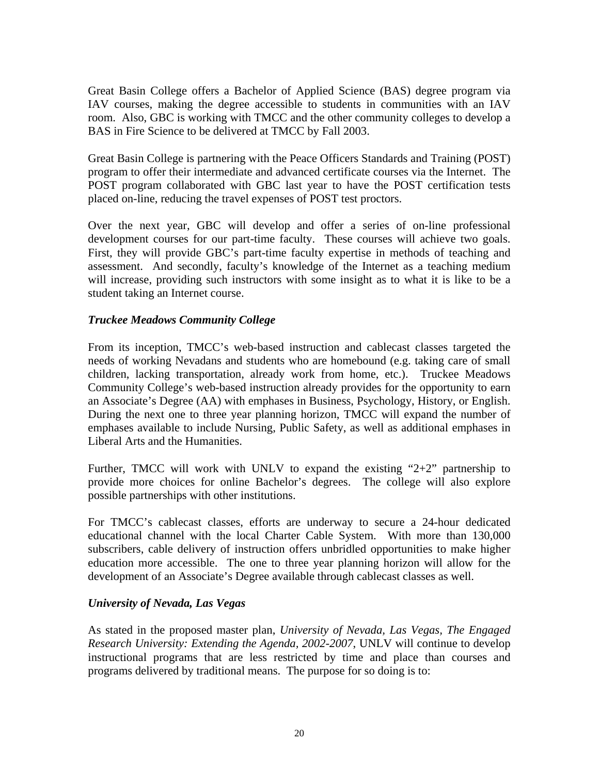Great Basin College offers a Bachelor of Applied Science (BAS) degree program via IAV courses, making the degree accessible to students in communities with an IAV room. Also, GBC is working with TMCC and the other community colleges to develop a BAS in Fire Science to be delivered at TMCC by Fall 2003.

Great Basin College is partnering with the Peace Officers Standards and Training (POST) program to offer their intermediate and advanced certificate courses via the Internet. The POST program collaborated with GBC last year to have the POST certification tests placed on-line, reducing the travel expenses of POST test proctors.

Over the next year, GBC will develop and offer a series of on-line professional development courses for our part-time faculty. These courses will achieve two goals. First, they will provide GBC's part-time faculty expertise in methods of teaching and assessment. And secondly, faculty's knowledge of the Internet as a teaching medium will increase, providing such instructors with some insight as to what it is like to be a student taking an Internet course.

# *Truckee Meadows Community College*

From its inception, TMCC's web-based instruction and cablecast classes targeted the needs of working Nevadans and students who are homebound (e.g. taking care of small children, lacking transportation, already work from home, etc.). Truckee Meadows Community College's web-based instruction already provides for the opportunity to earn an Associate's Degree (AA) with emphases in Business, Psychology, History, or English. During the next one to three year planning horizon, TMCC will expand the number of emphases available to include Nursing, Public Safety, as well as additional emphases in Liberal Arts and the Humanities.

Further, TMCC will work with UNLV to expand the existing " $2+2$ " partnership to provide more choices for online Bachelor's degrees. The college will also explore possible partnerships with other institutions.

For TMCC's cablecast classes, efforts are underway to secure a 24-hour dedicated educational channel with the local Charter Cable System. With more than 130,000 subscribers, cable delivery of instruction offers unbridled opportunities to make higher education more accessible. The one to three year planning horizon will allow for the development of an Associate's Degree available through cablecast classes as well.

### *University of Nevada, Las Vegas*

As stated in the proposed master plan, *University of Nevada, Las Vegas, The Engaged Research University: Extending the Agenda, 2002-2007*, UNLV will continue to develop instructional programs that are less restricted by time and place than courses and programs delivered by traditional means. The purpose for so doing is to: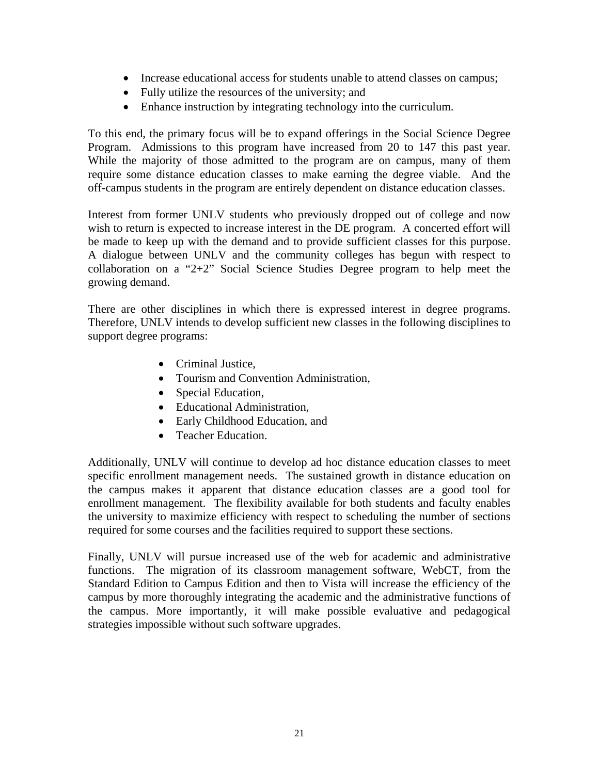- Increase educational access for students unable to attend classes on campus;
- Fully utilize the resources of the university; and
- Enhance instruction by integrating technology into the curriculum.

To this end, the primary focus will be to expand offerings in the Social Science Degree Program. Admissions to this program have increased from 20 to 147 this past year. While the majority of those admitted to the program are on campus, many of them require some distance education classes to make earning the degree viable. And the off-campus students in the program are entirely dependent on distance education classes.

Interest from former UNLV students who previously dropped out of college and now wish to return is expected to increase interest in the DE program. A concerted effort will be made to keep up with the demand and to provide sufficient classes for this purpose. A dialogue between UNLV and the community colleges has begun with respect to collaboration on a "2+2" Social Science Studies Degree program to help meet the growing demand.

There are other disciplines in which there is expressed interest in degree programs. Therefore, UNLV intends to develop sufficient new classes in the following disciplines to support degree programs:

- Criminal Justice.
- Tourism and Convention Administration,
- Special Education,
- Educational Administration,
- Early Childhood Education, and
- Teacher Education.

Additionally, UNLV will continue to develop ad hoc distance education classes to meet specific enrollment management needs. The sustained growth in distance education on the campus makes it apparent that distance education classes are a good tool for enrollment management. The flexibility available for both students and faculty enables the university to maximize efficiency with respect to scheduling the number of sections required for some courses and the facilities required to support these sections.

Finally, UNLV will pursue increased use of the web for academic and administrative functions. The migration of its classroom management software, WebCT, from the Standard Edition to Campus Edition and then to Vista will increase the efficiency of the campus by more thoroughly integrating the academic and the administrative functions of the campus. More importantly, it will make possible evaluative and pedagogical strategies impossible without such software upgrades.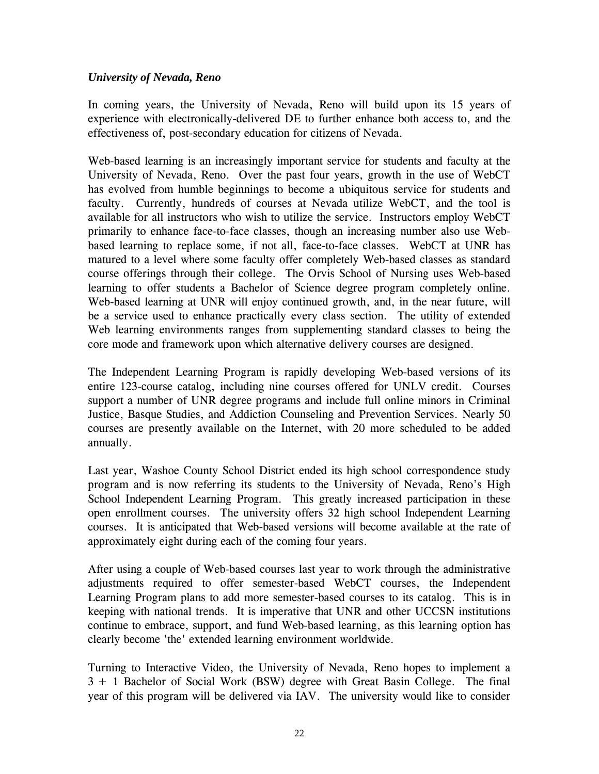# *University of Nevada, Reno*

In coming years, the University of Nevada, Reno will build upon its 15 years of experience with electronically-delivered DE to further enhance both access to, and the effectiveness of, post-secondary education for citizens of Nevada.

Web-based learning is an increasingly important service for students and faculty at the University of Nevada, Reno. Over the past four years, growth in the use of WebCT has evolved from humble beginnings to become a ubiquitous service for students and faculty. Currently, hundreds of courses at Nevada utilize WebCT, and the tool is available for all instructors who wish to utilize the service. Instructors employ WebCT primarily to enhance face-to-face classes, though an increasing number also use Webbased learning to replace some, if not all, face-to-face classes. WebCT at UNR has matured to a level where some faculty offer completely Web-based classes as standard course offerings through their college. The Orvis School of Nursing uses Web-based learning to offer students a Bachelor of Science degree program completely online. Web-based learning at UNR will enjoy continued growth, and, in the near future, will be a service used to enhance practically every class section. The utility of extended Web learning environments ranges from supplementing standard classes to being the core mode and framework upon which alternative delivery courses are designed.

The Independent Learning Program is rapidly developing Web-based versions of its entire 123-course catalog, including nine courses offered for UNLV credit. Courses support a number of UNR degree programs and include full online minors in Criminal Justice, Basque Studies, and Addiction Counseling and Prevention Services. Nearly 50 courses are presently available on the Internet, with 20 more scheduled to be added annually.

Last year, Washoe County School District ended its high school correspondence study program and is now referring its students to the University of Nevada, Reno's High School Independent Learning Program. This greatly increased participation in these open enrollment courses. The university offers 32 high school Independent Learning courses. It is anticipated that Web-based versions will become available at the rate of approximately eight during each of the coming four years.

After using a couple of Web-based courses last year to work through the administrative adjustments required to offer semester-based WebCT courses, the Independent Learning Program plans to add more semester-based courses to its catalog. This is in keeping with national trends. It is imperative that UNR and other UCCSN institutions continue to embrace, support, and fund Web-based learning, as this learning option has clearly become 'the' extended learning environment worldwide.

Turning to Interactive Video, the University of Nevada, Reno hopes to implement a 3 + 1 Bachelor of Social Work (BSW) degree with Great Basin College. The final year of this program will be delivered via IAV. The university would like to consider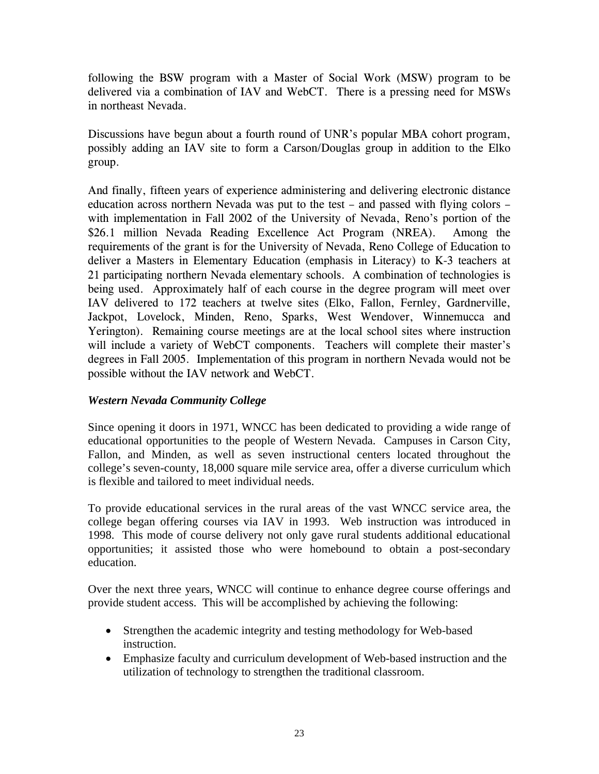following the BSW program with a Master of Social Work (MSW) program to be delivered via a combination of IAV and WebCT. There is a pressing need for MSWs in northeast Nevada.

Discussions have begun about a fourth round of UNR's popular MBA cohort program, possibly adding an IAV site to form a Carson/Douglas group in addition to the Elko group.

And finally, fifteen years of experience administering and delivering electronic distance education across northern Nevada was put to the test – and passed with flying colors – with implementation in Fall 2002 of the University of Nevada, Reno's portion of the \$26.1 million Nevada Reading Excellence Act Program (NREA). Among the requirements of the grant is for the University of Nevada, Reno College of Education to deliver a Masters in Elementary Education (emphasis in Literacy) to K-3 teachers at 21 participating northern Nevada elementary schools. A combination of technologies is being used. Approximately half of each course in the degree program will meet over IAV delivered to 172 teachers at twelve sites (Elko, Fallon, Fernley, Gardnerville, Jackpot, Lovelock, Minden, Reno, Sparks, West Wendover, Winnemucca and Yerington). Remaining course meetings are at the local school sites where instruction will include a variety of WebCT components. Teachers will complete their master's degrees in Fall 2005. Implementation of this program in northern Nevada would not be possible without the IAV network and WebCT.

# *Western Nevada Community College*

Since opening it doors in 1971, WNCC has been dedicated to providing a wide range of educational opportunities to the people of Western Nevada. Campuses in Carson City, Fallon, and Minden, as well as seven instructional centers located throughout the college's seven-county, 18,000 square mile service area, offer a diverse curriculum which is flexible and tailored to meet individual needs.

To provide educational services in the rural areas of the vast WNCC service area, the college began offering courses via IAV in 1993. Web instruction was introduced in 1998. This mode of course delivery not only gave rural students additional educational opportunities; it assisted those who were homebound to obtain a post-secondary education.

Over the next three years, WNCC will continue to enhance degree course offerings and provide student access. This will be accomplished by achieving the following:

- Strengthen the academic integrity and testing methodology for Web-based instruction.
- Emphasize faculty and curriculum development of Web-based instruction and the utilization of technology to strengthen the traditional classroom.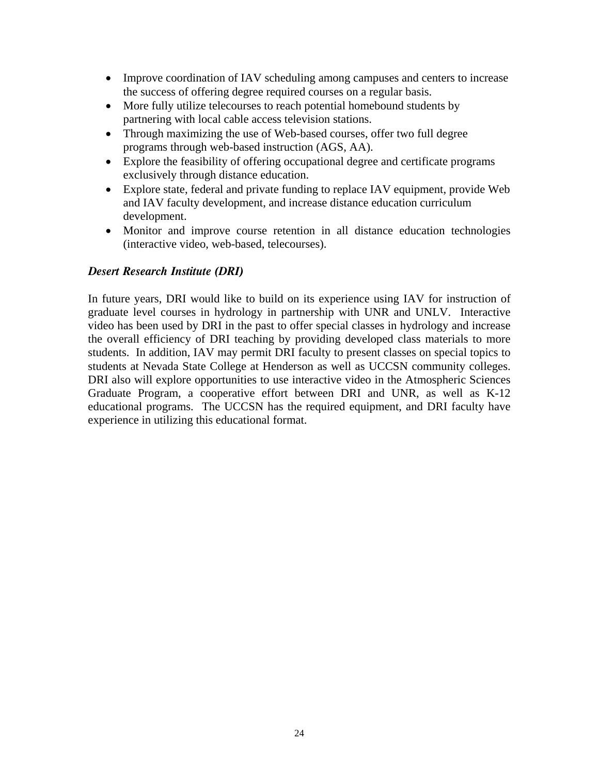- Improve coordination of IAV scheduling among campuses and centers to increase the success of offering degree required courses on a regular basis.
- More fully utilize telecourses to reach potential homebound students by partnering with local cable access television stations.
- Through maximizing the use of Web-based courses, offer two full degree programs through web-based instruction (AGS, AA).
- Explore the feasibility of offering occupational degree and certificate programs exclusively through distance education.
- Explore state, federal and private funding to replace IAV equipment, provide Web and IAV faculty development, and increase distance education curriculum development.
- Monitor and improve course retention in all distance education technologies (interactive video, web-based, telecourses).

# *Desert Research Institute (DRI)*

In future years, DRI would like to build on its experience using IAV for instruction of graduate level courses in hydrology in partnership with UNR and UNLV. Interactive video has been used by DRI in the past to offer special classes in hydrology and increase the overall efficiency of DRI teaching by providing developed class materials to more students. In addition, IAV may permit DRI faculty to present classes on special topics to students at Nevada State College at Henderson as well as UCCSN community colleges. DRI also will explore opportunities to use interactive video in the Atmospheric Sciences Graduate Program, a cooperative effort between DRI and UNR, as well as K-12 educational programs. The UCCSN has the required equipment, and DRI faculty have experience in utilizing this educational format.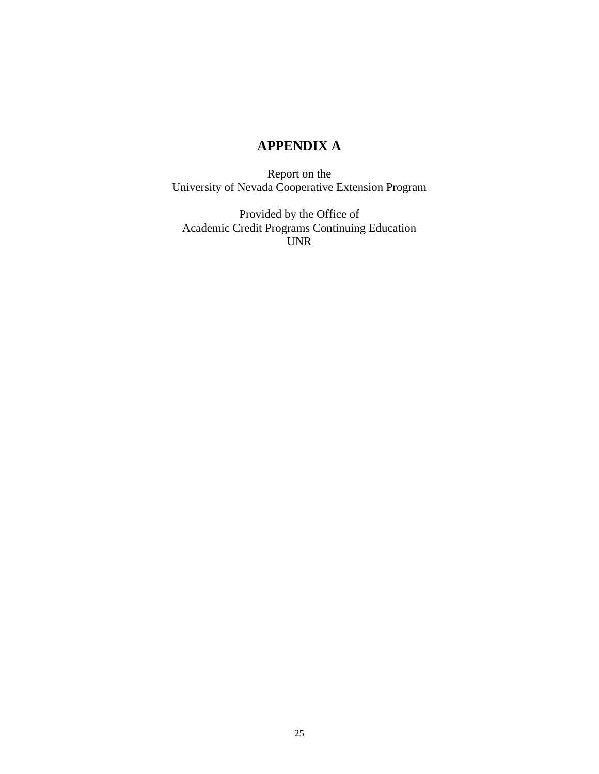# **APPENDIX A**

Report on the University of Nevada Cooperative Extension Program

Provided by the Office of Academic Credit Programs Continuing Education UNR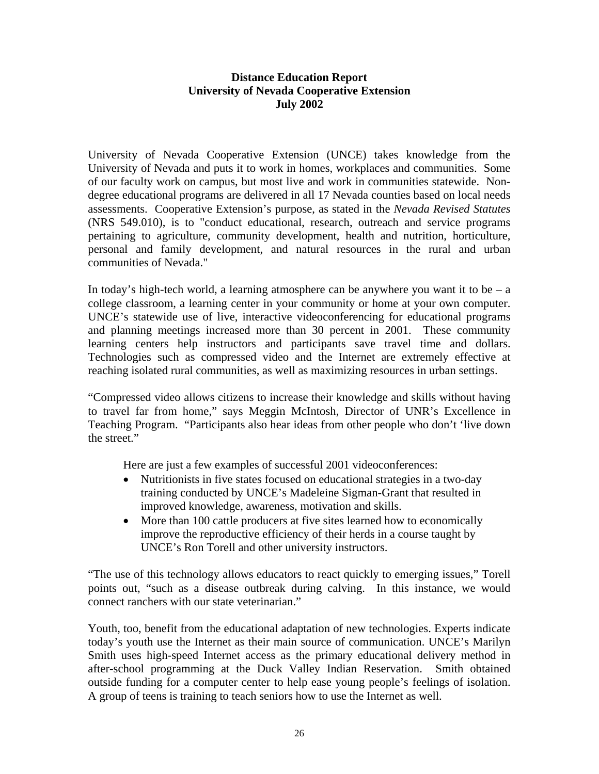# **Distance Education Report University of Nevada Cooperative Extension July 2002**

University of Nevada Cooperative Extension (UNCE) takes knowledge from the University of Nevada and puts it to work in homes, workplaces and communities. Some of our faculty work on campus, but most live and work in communities statewide. Nondegree educational programs are delivered in all 17 Nevada counties based on local needs assessments. Cooperative Extension's purpose, as stated in the *Nevada Revised Statutes* (NRS 549.010), is to "conduct educational, research, outreach and service programs pertaining to agriculture, community development, health and nutrition, horticulture, personal and family development, and natural resources in the rural and urban communities of Nevada."

In today's high-tech world, a learning atmosphere can be anywhere you want it to be  $- a$ college classroom, a learning center in your community or home at your own computer. UNCE's statewide use of live, interactive videoconferencing for educational programs and planning meetings increased more than 30 percent in 2001. These community learning centers help instructors and participants save travel time and dollars. Technologies such as compressed video and the Internet are extremely effective at reaching isolated rural communities, as well as maximizing resources in urban settings.

"Compressed video allows citizens to increase their knowledge and skills without having to travel far from home," says Meggin McIntosh, Director of UNR's Excellence in Teaching Program. "Participants also hear ideas from other people who don't 'live down the street."

Here are just a few examples of successful 2001 videoconferences:

- Nutritionists in five states focused on educational strategies in a two-day training conducted by UNCE's Madeleine Sigman-Grant that resulted in improved knowledge, awareness, motivation and skills.
- More than 100 cattle producers at five sites learned how to economically improve the reproductive efficiency of their herds in a course taught by UNCE's Ron Torell and other university instructors.

"The use of this technology allows educators to react quickly to emerging issues," Torell points out, "such as a disease outbreak during calving. In this instance, we would connect ranchers with our state veterinarian."

Youth, too, benefit from the educational adaptation of new technologies. Experts indicate today's youth use the Internet as their main source of communication. UNCE's Marilyn Smith uses high-speed Internet access as the primary educational delivery method in after-school programming at the Duck Valley Indian Reservation. Smith obtained outside funding for a computer center to help ease young people's feelings of isolation. A group of teens is training to teach seniors how to use the Internet as well.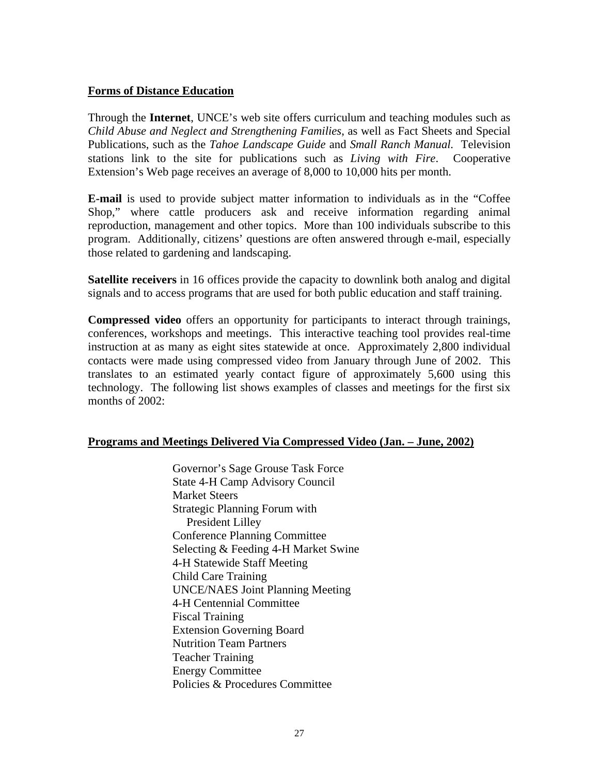### **Forms of Distance Education**

Through the **Internet**, UNCE's web site offers curriculum and teaching modules such as *Child Abuse and Neglect and Strengthening Families*, as well as Fact Sheets and Special Publications, such as the *Tahoe Landscape Guide* and *Small Ranch Manual.* Television stations link to the site for publications such as *Living with Fire*. Cooperative Extension's Web page receives an average of 8,000 to 10,000 hits per month.

**E-mail** is used to provide subject matter information to individuals as in the "Coffee Shop," where cattle producers ask and receive information regarding animal reproduction, management and other topics. More than 100 individuals subscribe to this program. Additionally, citizens' questions are often answered through e-mail, especially those related to gardening and landscaping.

**Satellite receivers** in 16 offices provide the capacity to downlink both analog and digital signals and to access programs that are used for both public education and staff training.

**Compressed video** offers an opportunity for participants to interact through trainings, conferences, workshops and meetings. This interactive teaching tool provides real-time instruction at as many as eight sites statewide at once. Approximately 2,800 individual contacts were made using compressed video from January through June of 2002. This translates to an estimated yearly contact figure of approximately 5,600 using this technology. The following list shows examples of classes and meetings for the first six months of 2002:

### **Programs and Meetings Delivered Via Compressed Video (Jan. – June, 2002)**

Governor's Sage Grouse Task Force State 4-H Camp Advisory Council Market Steers Strategic Planning Forum with President Lilley Conference Planning Committee Selecting & Feeding 4-H Market Swine 4-H Statewide Staff Meeting Child Care Training UNCE/NAES Joint Planning Meeting 4-H Centennial Committee Fiscal Training Extension Governing Board Nutrition Team Partners Teacher Training Energy Committee Policies & Procedures Committee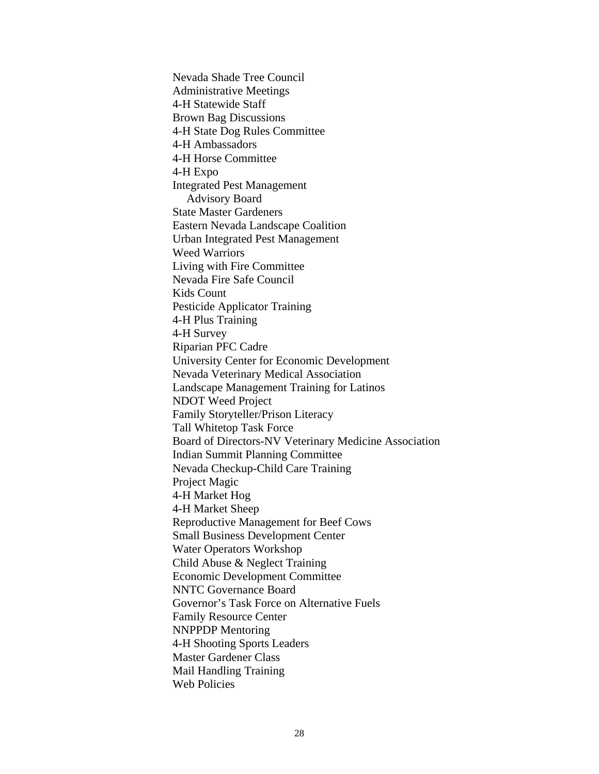Nevada Shade Tree Council Administrative Meetings 4-H Statewide Staff Brown Bag Discussions 4-H State Dog Rules Committee 4-H Ambassadors 4-H Horse Committee 4-H Expo Integrated Pest Management Advisory Board State Master Gardeners Eastern Nevada Landscape Coalition Urban Integrated Pest Management Weed Warriors Living with Fire Committee Nevada Fire Safe Council Kids Count Pesticide Applicator Training 4-H Plus Training 4-H Survey Riparian PFC Cadre University Center for Economic Development Nevada Veterinary Medical Association Landscape Management Training for Latinos NDOT Weed Project Family Storyteller/Prison Literacy Tall Whitetop Task Force Board of Directors-NV Veterinary Medicine Association Indian Summit Planning Committee Nevada Checkup-Child Care Training Project Magic 4-H Market Hog 4-H Market Sheep Reproductive Management for Beef Cows Small Business Development Center Water Operators Workshop Child Abuse & Neglect Training Economic Development Committee NNTC Governance Board Governor's Task Force on Alternative Fuels Family Resource Center NNPPDP Mentoring 4-H Shooting Sports Leaders Master Gardener Class Mail Handling Training Web Policies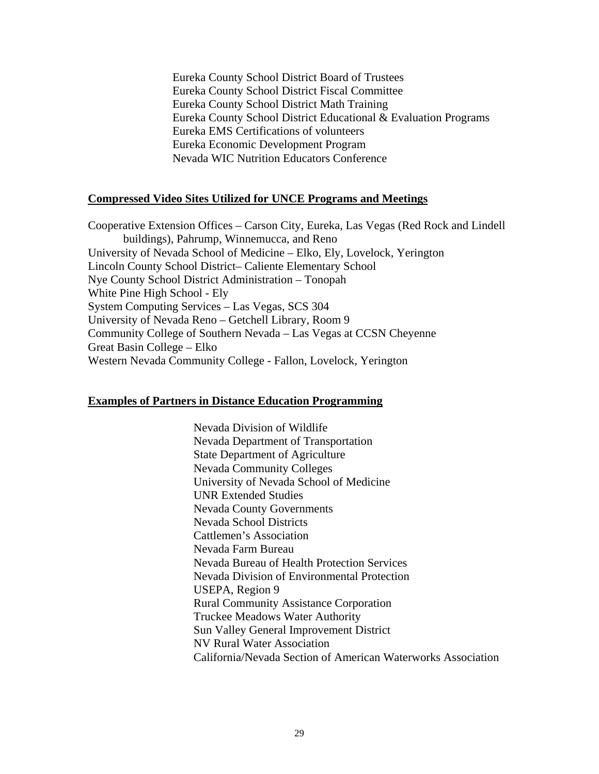Eureka County School District Board of Trustees Eureka County School District Fiscal Committee Eureka County School District Math Training Eureka County School District Educational & Evaluation Programs Eureka EMS Certifications of volunteers Eureka Economic Development Program Nevada WIC Nutrition Educators Conference

### **Compressed Video Sites Utilized for UNCE Programs and Meetings**

Cooperative Extension Offices – Carson City, Eureka, Las Vegas (Red Rock and Lindell buildings), Pahrump, Winnemucca, and Reno University of Nevada School of Medicine – Elko, Ely, Lovelock, Yerington Lincoln County School District– Caliente Elementary School Nye County School District Administration – Tonopah White Pine High School - Ely System Computing Services – Las Vegas, SCS 304 University of Nevada Reno – Getchell Library, Room 9 Community College of Southern Nevada – Las Vegas at CCSN Cheyenne Great Basin College – Elko Western Nevada Community College - Fallon, Lovelock, Yerington

#### **Examples of Partners in Distance Education Programming**

Nevada Division of Wildlife Nevada Department of Transportation State Department of Agriculture Nevada Community Colleges University of Nevada School of Medicine UNR Extended Studies Nevada County Governments Nevada School Districts Cattlemen's Association Nevada Farm Bureau Nevada Bureau of Health Protection Services Nevada Division of Environmental Protection USEPA, Region 9 Rural Community Assistance Corporation Truckee Meadows Water Authority Sun Valley General Improvement District NV Rural Water Association California/Nevada Section of American Waterworks Association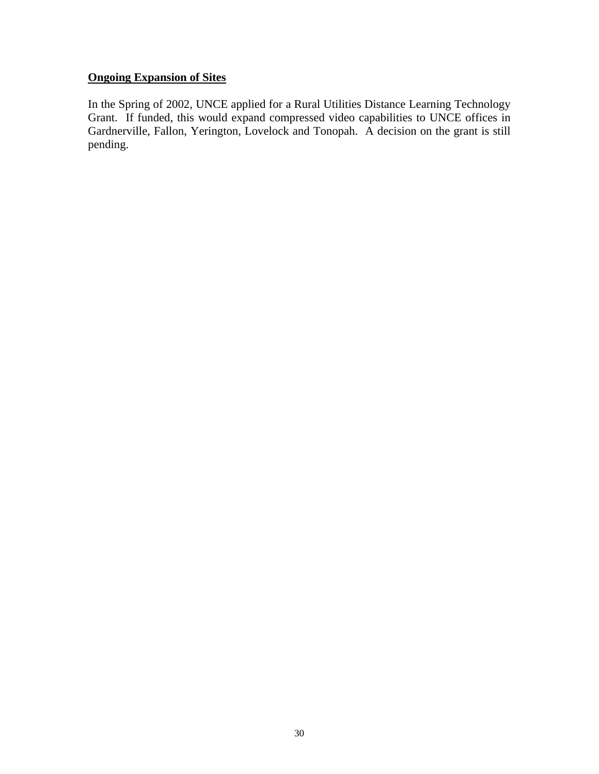# **Ongoing Expansion of Sites**

In the Spring of 2002, UNCE applied for a Rural Utilities Distance Learning Technology Grant. If funded, this would expand compressed video capabilities to UNCE offices in Gardnerville, Fallon, Yerington, Lovelock and Tonopah. A decision on the grant is still pending.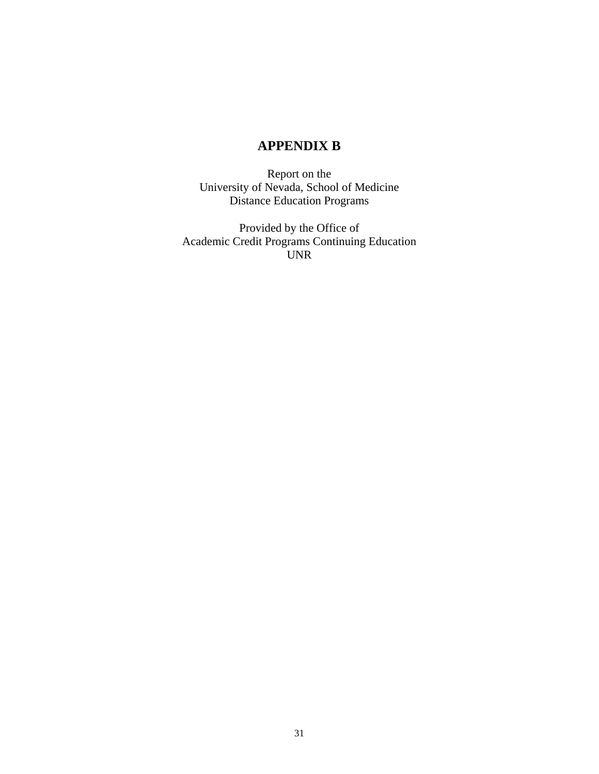# **APPENDIX B**

Report on the University of Nevada, School of Medicine Distance Education Programs

Provided by the Office of Academic Credit Programs Continuing Education UNR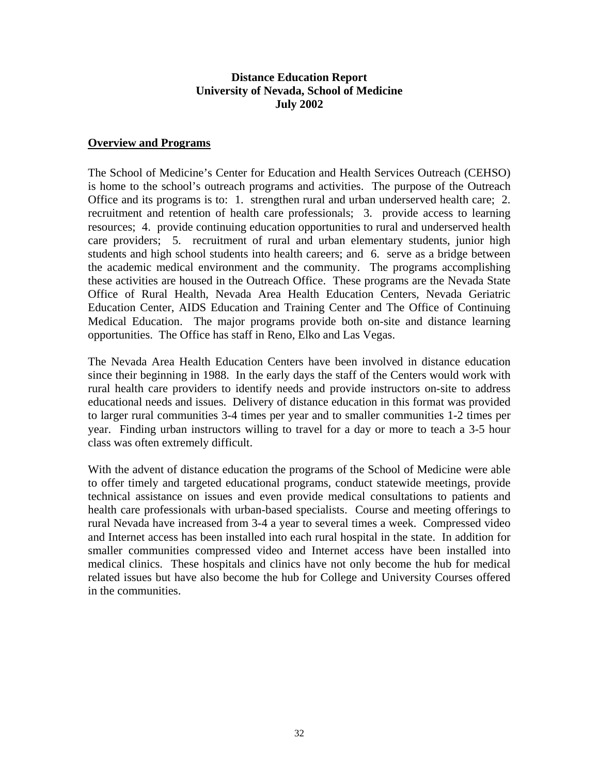### **Distance Education Report University of Nevada, School of Medicine July 2002**

### **Overview and Programs**

The School of Medicine's Center for Education and Health Services Outreach (CEHSO) is home to the school's outreach programs and activities. The purpose of the Outreach Office and its programs is to: 1. strengthen rural and urban underserved health care; 2. recruitment and retention of health care professionals; 3. provide access to learning resources; 4. provide continuing education opportunities to rural and underserved health care providers; 5. recruitment of rural and urban elementary students, junior high students and high school students into health careers; and 6. serve as a bridge between the academic medical environment and the community. The programs accomplishing these activities are housed in the Outreach Office. These programs are the Nevada State Office of Rural Health, Nevada Area Health Education Centers, Nevada Geriatric Education Center, AIDS Education and Training Center and The Office of Continuing Medical Education. The major programs provide both on-site and distance learning opportunities. The Office has staff in Reno, Elko and Las Vegas.

The Nevada Area Health Education Centers have been involved in distance education since their beginning in 1988. In the early days the staff of the Centers would work with rural health care providers to identify needs and provide instructors on-site to address educational needs and issues. Delivery of distance education in this format was provided to larger rural communities 3-4 times per year and to smaller communities 1-2 times per year. Finding urban instructors willing to travel for a day or more to teach a 3-5 hour class was often extremely difficult.

With the advent of distance education the programs of the School of Medicine were able to offer timely and targeted educational programs, conduct statewide meetings, provide technical assistance on issues and even provide medical consultations to patients and health care professionals with urban-based specialists. Course and meeting offerings to rural Nevada have increased from 3-4 a year to several times a week. Compressed video and Internet access has been installed into each rural hospital in the state. In addition for smaller communities compressed video and Internet access have been installed into medical clinics. These hospitals and clinics have not only become the hub for medical related issues but have also become the hub for College and University Courses offered in the communities.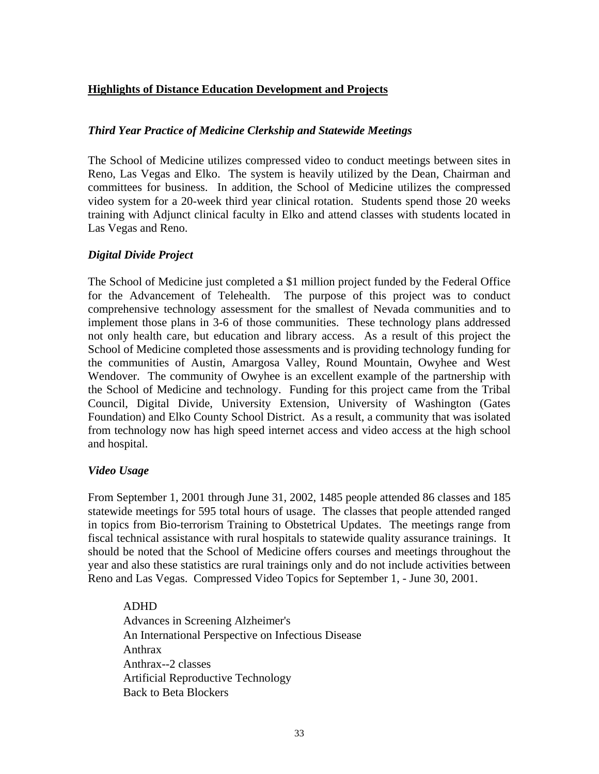# **Highlights of Distance Education Development and Projects**

# *Third Year Practice of Medicine Clerkship and Statewide Meetings*

The School of Medicine utilizes compressed video to conduct meetings between sites in Reno, Las Vegas and Elko. The system is heavily utilized by the Dean, Chairman and committees for business. In addition, the School of Medicine utilizes the compressed video system for a 20-week third year clinical rotation. Students spend those 20 weeks training with Adjunct clinical faculty in Elko and attend classes with students located in Las Vegas and Reno.

# *Digital Divide Project*

The School of Medicine just completed a \$1 million project funded by the Federal Office for the Advancement of Telehealth. The purpose of this project was to conduct comprehensive technology assessment for the smallest of Nevada communities and to implement those plans in 3-6 of those communities. These technology plans addressed not only health care, but education and library access. As a result of this project the School of Medicine completed those assessments and is providing technology funding for the communities of Austin, Amargosa Valley, Round Mountain, Owyhee and West Wendover. The community of Owyhee is an excellent example of the partnership with the School of Medicine and technology. Funding for this project came from the Tribal Council, Digital Divide, University Extension, University of Washington (Gates Foundation) and Elko County School District. As a result, a community that was isolated from technology now has high speed internet access and video access at the high school and hospital.

### *Video Usage*

From September 1, 2001 through June 31, 2002, 1485 people attended 86 classes and 185 statewide meetings for 595 total hours of usage. The classes that people attended ranged in topics from Bio-terrorism Training to Obstetrical Updates. The meetings range from fiscal technical assistance with rural hospitals to statewide quality assurance trainings. It should be noted that the School of Medicine offers courses and meetings throughout the year and also these statistics are rural trainings only and do not include activities between Reno and Las Vegas. Compressed Video Topics for September 1, - June 30, 2001.

### ADHD

Advances in Screening Alzheimer's An International Perspective on Infectious Disease Anthrax Anthrax--2 classes Artificial Reproductive Technology Back to Beta Blockers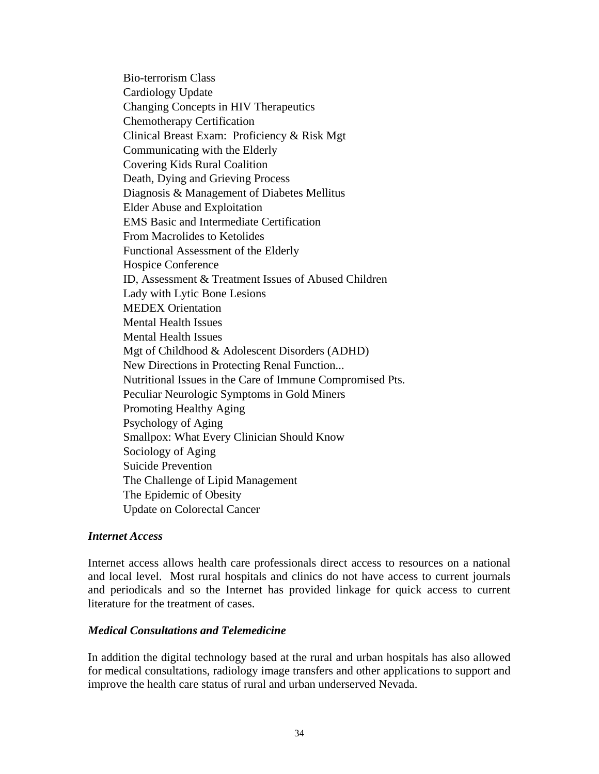Bio-terrorism Class Cardiology Update Changing Concepts in HIV Therapeutics Chemotherapy Certification Clinical Breast Exam: Proficiency & Risk Mgt Communicating with the Elderly Covering Kids Rural Coalition Death, Dying and Grieving Process Diagnosis & Management of Diabetes Mellitus Elder Abuse and Exploitation EMS Basic and Intermediate Certification From Macrolides to Ketolides Functional Assessment of the Elderly Hospice Conference ID, Assessment & Treatment Issues of Abused Children Lady with Lytic Bone Lesions MEDEX Orientation Mental Health Issues Mental Health Issues Mgt of Childhood & Adolescent Disorders (ADHD) New Directions in Protecting Renal Function... Nutritional Issues in the Care of Immune Compromised Pts. Peculiar Neurologic Symptoms in Gold Miners Promoting Healthy Aging Psychology of Aging Smallpox: What Every Clinician Should Know Sociology of Aging Suicide Prevention The Challenge of Lipid Management The Epidemic of Obesity Update on Colorectal Cancer

### *Internet Access*

Internet access allows health care professionals direct access to resources on a national and local level. Most rural hospitals and clinics do not have access to current journals and periodicals and so the Internet has provided linkage for quick access to current literature for the treatment of cases.

### *Medical Consultations and Telemedicine*

In addition the digital technology based at the rural and urban hospitals has also allowed for medical consultations, radiology image transfers and other applications to support and improve the health care status of rural and urban underserved Nevada.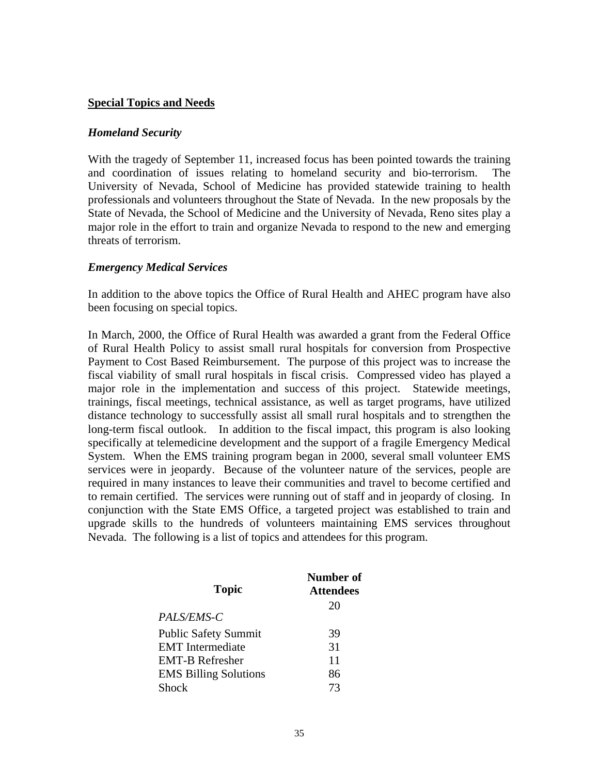### **Special Topics and Needs**

#### *Homeland Security*

With the tragedy of September 11, increased focus has been pointed towards the training and coordination of issues relating to homeland security and bio-terrorism. The University of Nevada, School of Medicine has provided statewide training to health professionals and volunteers throughout the State of Nevada. In the new proposals by the State of Nevada, the School of Medicine and the University of Nevada, Reno sites play a major role in the effort to train and organize Nevada to respond to the new and emerging threats of terrorism.

### *Emergency Medical Services*

In addition to the above topics the Office of Rural Health and AHEC program have also been focusing on special topics.

In March, 2000, the Office of Rural Health was awarded a grant from the Federal Office of Rural Health Policy to assist small rural hospitals for conversion from Prospective Payment to Cost Based Reimbursement. The purpose of this project was to increase the fiscal viability of small rural hospitals in fiscal crisis. Compressed video has played a major role in the implementation and success of this project. Statewide meetings, trainings, fiscal meetings, technical assistance, as well as target programs, have utilized distance technology to successfully assist all small rural hospitals and to strengthen the long-term fiscal outlook. In addition to the fiscal impact, this program is also looking specifically at telemedicine development and the support of a fragile Emergency Medical System. When the EMS training program began in 2000, several small volunteer EMS services were in jeopardy. Because of the volunteer nature of the services, people are required in many instances to leave their communities and travel to become certified and to remain certified. The services were running out of staff and in jeopardy of closing. In conjunction with the State EMS Office, a targeted project was established to train and upgrade skills to the hundreds of volunteers maintaining EMS services throughout Nevada. The following is a list of topics and attendees for this program.

| <b>Topic</b>                 | <b>Number of</b><br><b>Attendees</b> |
|------------------------------|--------------------------------------|
|                              | 20                                   |
| PALS/EMS-C                   |                                      |
| <b>Public Safety Summit</b>  | 39                                   |
| <b>EMT</b> Intermediate      | 31                                   |
| <b>EMT-B Refresher</b>       | 11                                   |
| <b>EMS Billing Solutions</b> | 86                                   |
| Shock                        | 73                                   |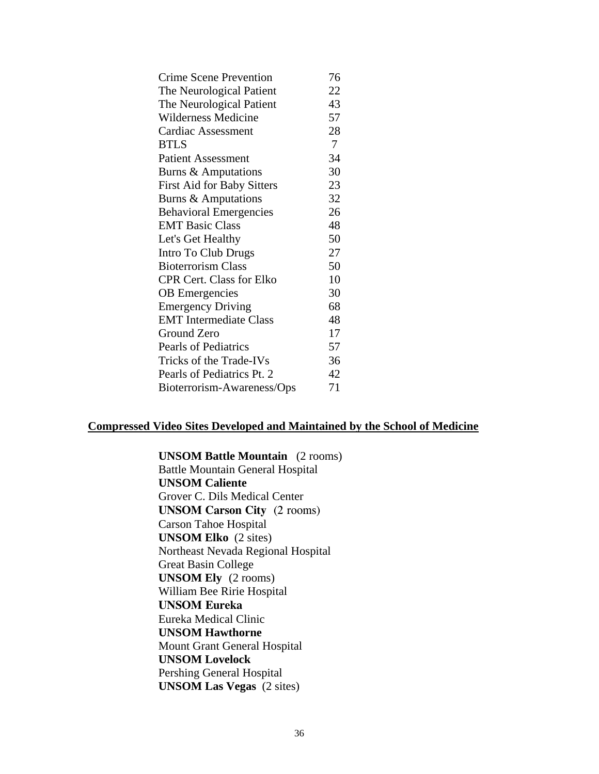| <b>Crime Scene Prevention</b>     | 76             |
|-----------------------------------|----------------|
| The Neurological Patient          | 22             |
| The Neurological Patient          | 43             |
| Wilderness Medicine               | 57             |
| <b>Cardiac Assessment</b>         | 28             |
| <b>BTLS</b>                       | $\overline{7}$ |
| <b>Patient Assessment</b>         | 34             |
| Burns & Amputations               | 30             |
| <b>First Aid for Baby Sitters</b> | 23             |
| <b>Burns &amp; Amputations</b>    | 32             |
| <b>Behavioral Emergencies</b>     | 26             |
| <b>EMT Basic Class</b>            | 48             |
| Let's Get Healthy                 | 50             |
| Intro To Club Drugs               | 27             |
| <b>Bioterrorism Class</b>         | 50             |
| <b>CPR Cert. Class for Elko</b>   | 10             |
| <b>OB</b> Emergencies             | 30             |
| <b>Emergency Driving</b>          | 68             |
| <b>EMT</b> Intermediate Class     | 48             |
| Ground Zero                       | 17             |
| <b>Pearls of Pediatrics</b>       | 57             |
| Tricks of the Trade-IVs           | 36             |
| Pearls of Pediatrics Pt. 2        | 42             |
| Bioterrorism-Awareness/Ops        | 71             |

# **Compressed Video Sites Developed and Maintained by the School of Medicine**

**UNSOM Battle Mountain** (2 rooms)

Battle Mountain General Hospital **UNSOM Caliente**  Grover C. Dils Medical Center **UNSOM Carson City** (2 rooms) Carson Tahoe Hospital **UNSOM Elko** (2 sites) Northeast Nevada Regional Hospital Great Basin College **UNSOM Ely** (2 rooms) William Bee Ririe Hospital **UNSOM Eureka**  Eureka Medical Clinic **UNSOM Hawthorne**  Mount Grant General Hospital **UNSOM Lovelock** Pershing General Hospital **UNSOM Las Vegas** (2 sites)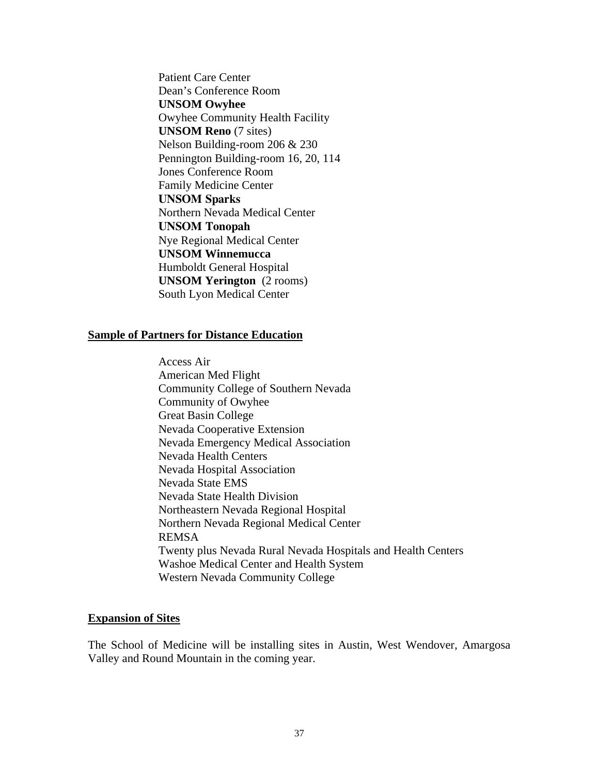Patient Care Center Dean's Conference Room **UNSOM Owyhee**  Owyhee Community Health Facility **UNSOM Reno** (7 sites) Nelson Building-room 206 & 230 Pennington Building-room 16, 20, 114 Jones Conference Room Family Medicine Center **UNSOM Sparks**  Northern Nevada Medical Center **UNSOM Tonopah**  Nye Regional Medical Center **UNSOM Winnemucca**  Humboldt General Hospital **UNSOM Yerington** (2 rooms) South Lyon Medical Center

#### **Sample of Partners for Distance Education**

Access Air American Med Flight Community College of Southern Nevada Community of Owyhee Great Basin College Nevada Cooperative Extension Nevada Emergency Medical Association Nevada Health Centers Nevada Hospital Association Nevada State EMS Nevada State Health Division Northeastern Nevada Regional Hospital Northern Nevada Regional Medical Center REMSA Twenty plus Nevada Rural Nevada Hospitals and Health Centers Washoe Medical Center and Health System Western Nevada Community College

#### **Expansion of Sites**

The School of Medicine will be installing sites in Austin, West Wendover, Amargosa Valley and Round Mountain in the coming year.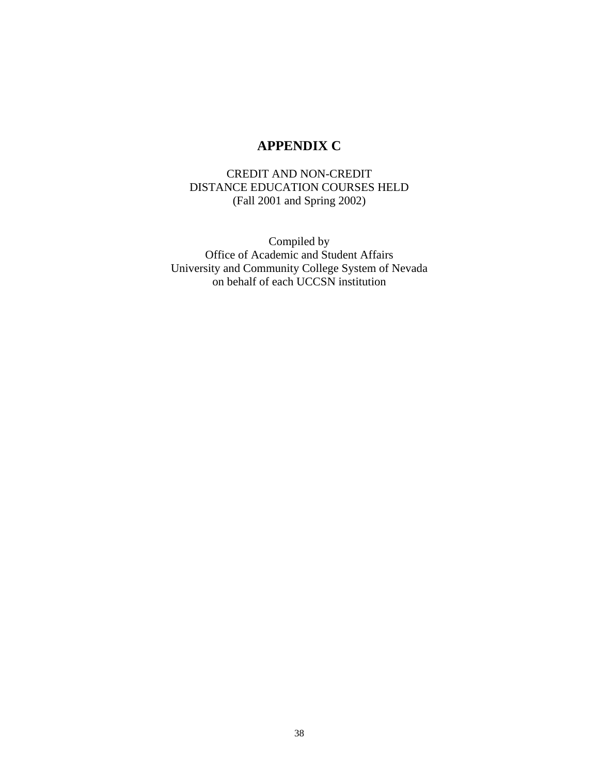# **APPENDIX C**

# CREDIT AND NON-CREDIT DISTANCE EDUCATION COURSES HELD (Fall 2001 and Spring 2002)

Compiled by Office of Academic and Student Affairs University and Community College System of Nevada on behalf of each UCCSN institution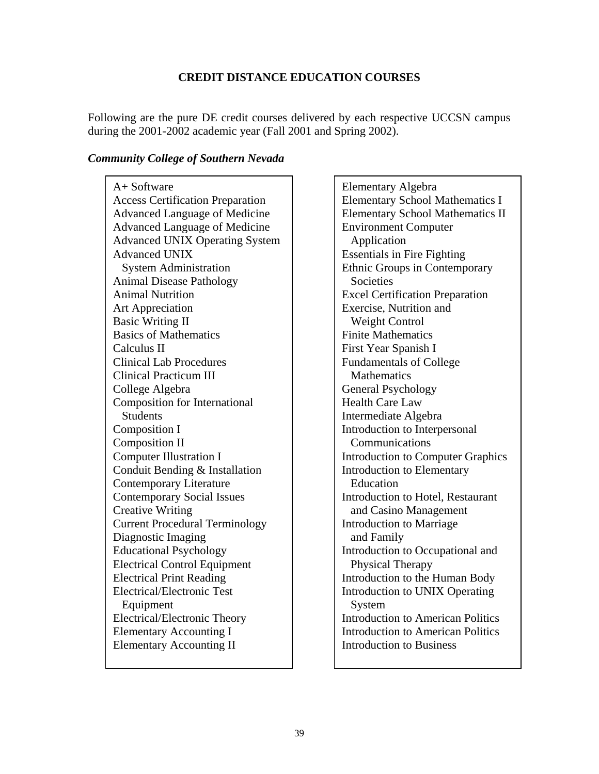# **CREDIT DISTANCE EDUCATION COURSES**

Following are the pure DE credit courses delivered by each respective UCCSN campus during the 2001-2002 academic year (Fall 2001 and Spring 2002).

### *Community College of Southern Nevada*

A+ Software Access Certification Preparation Advanced Language of Medicine Advanced Language of Medicine Advanced UNIX Operating System Advanced UNIX System Administration Animal Disease Pathology Animal Nutrition Art Appreciation Basic Writing II Basics of Mathematics Calculus II Clinical Lab Procedures Clinical Practicum III College Algebra Composition for International **Students** Composition I Composition II Computer Illustration I Conduit Bending & Installation Contemporary Literature Contemporary Social Issues Creative Writing Current Procedural Terminology Diagnostic Imaging Educational Psychology Electrical Control Equipment Electrical Print Reading Electrical/Electronic Test Equipment Electrical/Electronic Theory Elementary Accounting I Elementary Accounting II

Elementary Algebra Elementary School Mathematics I Elementary School Mathematics II Environment Computer Application Essentials in Fire Fighting Ethnic Groups in Contemporary **Societies** Excel Certification Preparation Exercise, Nutrition and Weight Control Finite Mathematics First Year Spanish I Fundamentals of College **Mathematics** General Psychology Health Care Law Intermediate Algebra Introduction to Interpersonal Communications Introduction to Computer Graphics Introduction to Elementary Education Introduction to Hotel, Restaurant and Casino Management Introduction to Marriage and Family Introduction to Occupational and Physical Therapy Introduction to the Human Body Introduction to UNIX Operating System Introduction to American Politics Introduction to American Politics Introduction to Business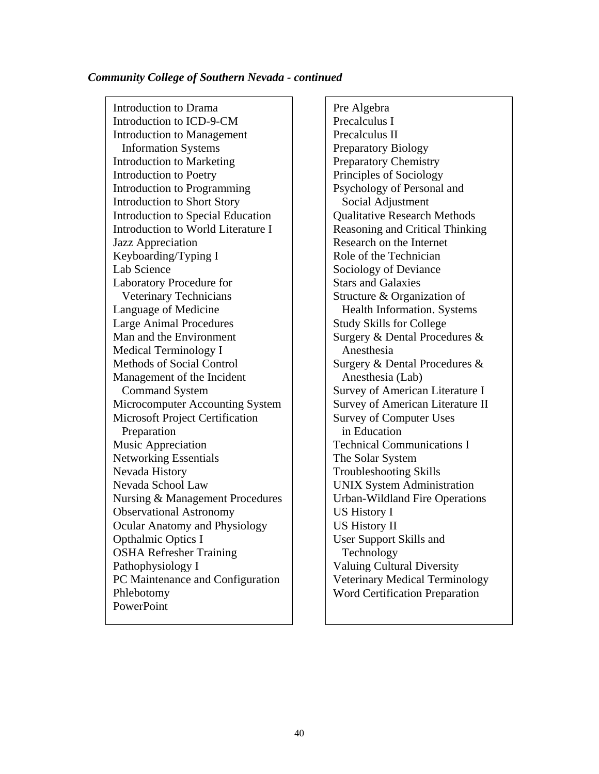#### *Community College of Southern Nevada - continued*

Introduction to Drama Introduction to ICD-9-CM Introduction to Management Information Systems Introduction to Marketing Introduction to Poetry Introduction to Programming Introduction to Short Story Introduction to Special Education Introduction to World Literature I Jazz Appreciation Keyboarding/Typing I Lab Science Laboratory Procedure for Veterinary Technicians Language of Medicine Large Animal Procedures Man and the Environment Medical Terminology I Methods of Social Control Management of the Incident Command System Microcomputer Accounting System Microsoft Project Certification Preparation Music Appreciation Networking Essentials Nevada History Nevada School Law Nursing & Management Procedures Observational Astronomy Ocular Anatomy and Physiology Opthalmic Optics I OSHA Refresher Training Pathophysiology I PC Maintenance and Configuration Phlebotomy PowerPoint

Pre Algebra Precalculus I Precalculus II Preparatory Biology Preparatory Chemistry Principles of Sociology Psychology of Personal and Social Adjustment Qualitative Research Methods Reasoning and Critical Thinking Research on the Internet Role of the Technician Sociology of Deviance Stars and Galaxies Structure & Organization of Health Information. Systems Study Skills for College Surgery & Dental Procedures & Anesthesia Surgery & Dental Procedures & Anesthesia (Lab) Survey of American Literature I Survey of American Literature II Survey of Computer Uses in Education Technical Communications I The Solar System Troubleshooting Skills UNIX System Administration Urban-Wildland Fire Operations US History I US History II User Support Skills and Technology Valuing Cultural Diversity Veterinary Medical Terminology Word Certification Preparation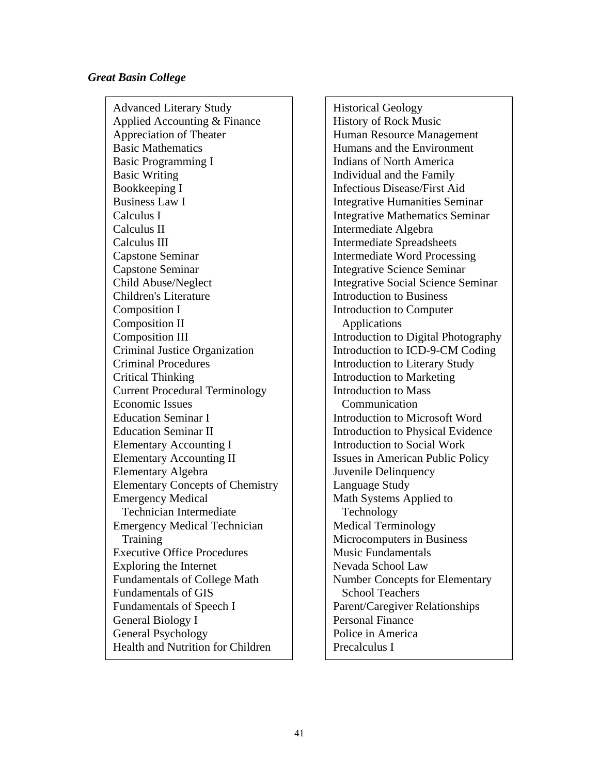#### *Great Basin College*

Advanced Literary Study Applied Accounting & Finance Appreciation of Theater Basic Mathematics Basic Programming I Basic Writing Bookkeeping I Business Law I Calculus I Calculus II Calculus III Capstone Seminar Capstone Seminar Child Abuse/Neglect Children's Literature Composition I Composition II Composition III Criminal Justice Organization Criminal Procedures Critical Thinking Current Procedural Terminology Economic Issues Education Seminar I Education Seminar II Elementary Accounting I Elementary Accounting II Elementary Algebra Elementary Concepts of Chemistry Emergency Medical Technician Intermediate Emergency Medical Technician Training Executive Office Procedures Exploring the Internet Fundamentals of College Math Fundamentals of GIS Fundamentals of Speech I General Biology I General Psychology Health and Nutrition for Children

Historical Geology History of Rock Music Human Resource Management Humans and the Environment Indians of North America Individual and the Family Infectious Disease/First Aid Integrative Humanities Seminar Integrative Mathematics Seminar Intermediate Algebra Intermediate Spreadsheets Intermediate Word Processing Integrative Science Seminar Integrative Social Science Seminar Introduction to Business Introduction to Computer Applications Introduction to Digital Photography Introduction to ICD-9-CM Coding Introduction to Literary Study Introduction to Marketing Introduction to Mass Communication Introduction to Microsoft Word Introduction to Physical Evidence Introduction to Social Work Issues in American Public Policy Juvenile Delinquency Language Study Math Systems Applied to Technology Medical Terminology Microcomputers in Business Music Fundamentals Nevada School Law Number Concepts for Elementary School Teachers Parent/Caregiver Relationships Personal Finance Police in America Precalculus I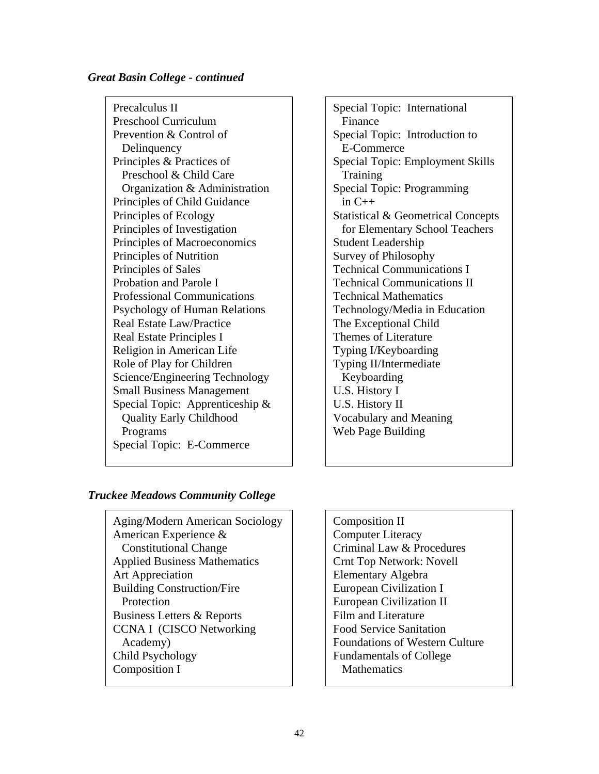### *Great Basin College - continued*

Precalculus II Preschool Curriculum Prevention & Control of Delinquency Principles & Practices of Preschool & Child Care Organization & Administration Principles of Child Guidance Principles of Ecology Principles of Investigation Principles of Macroeconomics Principles of Nutrition Principles of Sales Probation and Parole I Professional Communications Psychology of Human Relations Real Estate Law/Practice Real Estate Principles I Religion in American Life Role of Play for Children Science/Engineering Technology Small Business Management Special Topic: Apprenticeship & Quality Early Childhood Programs Special Topic: E-Commerce

Special Topic: International Finance Special Topic: Introduction to E-Commerce Special Topic: Employment Skills Training Special Topic: Programming in C++ Statistical & Geometrical Concepts for Elementary School Teachers Student Leadership Survey of Philosophy Technical Communications I Technical Communications II Technical Mathematics Technology/Media in Education The Exceptional Child Themes of Literature Typing I/Keyboarding Typing II/Intermediate Keyboarding U.S. History I U.S. History II Vocabulary and Meaning Web Page Building

# *Truckee Meadows Community College*

Aging/Modern American Sociology American Experience & Constitutional Change Applied Business Mathematics Art Appreciation Building Construction/Fire **Protection** Business Letters & Reports CCNA I (CISCO Networking Academy) Child Psychology Composition I

Composition II Computer Literacy Criminal Law & Procedures Crnt Top Network: Novell Elementary Algebra European Civilization I European Civilization II Film and Literature Food Service Sanitation Foundations of Western Culture Fundamentals of College **Mathematics**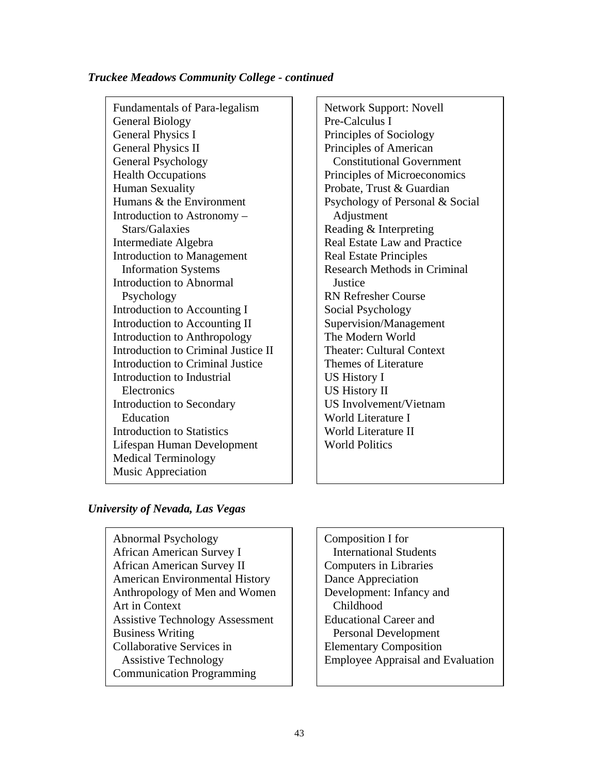### *Truckee Meadows Community College - continued*

Fundamentals of Para-legalism General Biology General Physics I General Physics II General Psychology Health Occupations Human Sexuality Humans & the Environment Introduction to Astronomy – Stars/Galaxies Intermediate Algebra Introduction to Management Information Systems Introduction to Abnormal Psychology Introduction to Accounting I Introduction to Accounting II Introduction to Anthropology Introduction to Criminal Justice II Introduction to Criminal Justice Introduction to Industrial **Electronics** Introduction to Secondary Education Introduction to Statistics Lifespan Human Development Medical Terminology Music Appreciation

Network Support: Novell Pre-Calculus I Principles of Sociology Principles of American Constitutional Government Principles of Microeconomics Probate, Trust & Guardian Psychology of Personal & Social Adjustment Reading & Interpreting Real Estate Law and Practice Real Estate Principles Research Methods in Criminal **Justice** RN Refresher Course Social Psychology Supervision/Management The Modern World Theater: Cultural Context Themes of Literature US History I US History II US Involvement/Vietnam World Literature I World Literature II World Politics

# *University of Nevada, Las Vegas*

Abnormal Psychology  $\Box$  Composition I for African American Survey I | International Students African American Survey II Computers in Libraries American Environmental History | | Dance Appreciation Anthropology of Men and Women **Development:** Infancy and Art in Context Childhood Assistive Technology Assessment | Educational Career and Business Writing Personal Development Collaborative Services in Flementary Composition Communication Programming

Assistive Technology **Employee** Appraisal and Evaluation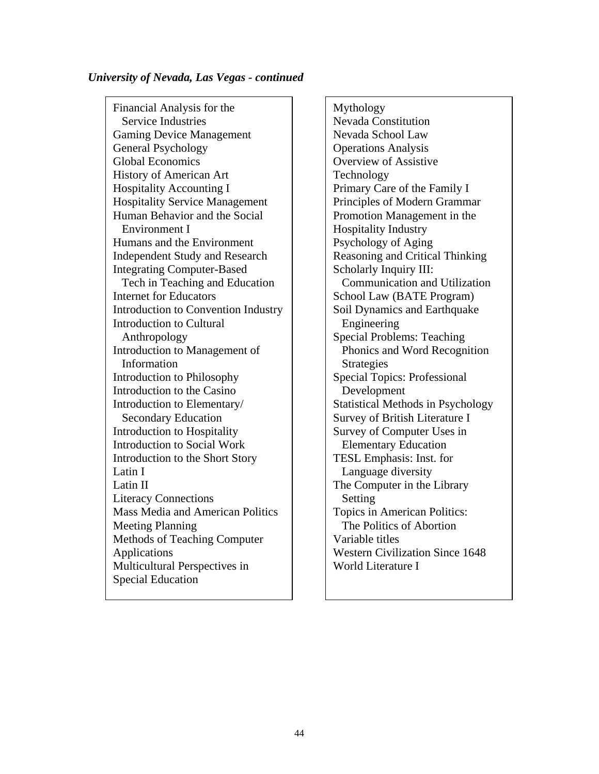### *University of Nevada, Las Vegas - continued*

Financial Analysis for the Mythology Service Industries Nevada Constitution Gaming Device Management  $\vert$  Nevada School Law General Psychology Depends Analysis Global Economics and Diverview of Assistive History of American Art Technology Hospitality Accounting I | Primary Care of the Family I Hospitality Service Management | Principles of Modern Grammar Human Behavior and the Social Promotion Management in the Environment I Hospitality Industry Humans and the Environment Psychology of Aging Independent Study and Research | Reasoning and Critical Thinking Integrating Computer-Based Scholarly Inquiry III: Tech in Teaching and Education **Communication** Communication and Utilization Internet for Educators  $\vert$  School Law (BATE Program) Introduction to Convention Industry Soil Dynamics and Earthquake Introduction to Cultural **Engineering** Anthropology Special Problems: Teaching Introduction to Management of Phonics and Word Recognition Information and Strategies Introduction to Philosophy Special Topics: Professional Introduction to the Casino and Development Introduction to Elementary  $\parallel$  Statistical Methods in Psychology Secondary Education Secondary Education Survey of British Literature I Introduction to Hospitality Survey of Computer Uses in Introduction to Social Work Flementary Education Introduction to the Short Story TESL Emphasis: Inst. for Latin I Language diversity Latin II The Computer in the Library Literacy Connections Setting Mass Media and American Politics  $\parallel$  Topics in American Politics: Meeting Planning The Politics of Abortion Methods of Teaching Computer Applications Multicultural Perspectives in Special Education

Variable titles Western Civilization Since 1648 World Literature I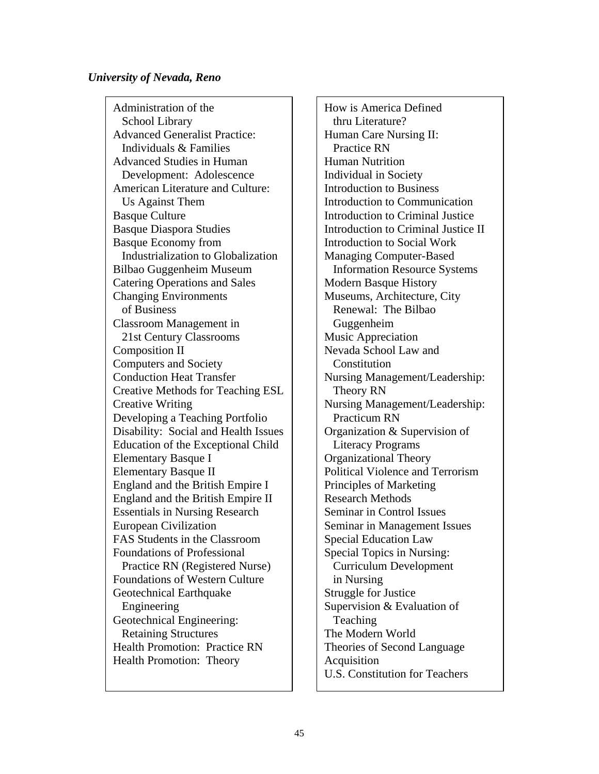### *University of Nevada, Reno*

Administration of the School Library Advanced Generalist Practice: Individuals & Families Advanced Studies in Human Development: Adolescence American Literature and Culture: Us Against Them Basque Culture Basque Diaspora Studies Basque Economy from Industrialization to Globalization Bilbao Guggenheim Museum Catering Operations and Sales Changing Environments of Business Classroom Management in 21st Century Classrooms Composition II Computers and Society Conduction Heat Transfer Creative Methods for Teaching ESL Creative Writing Developing a Teaching Portfolio Disability: Social and Health Issues Education of the Exceptional Child Elementary Basque I Elementary Basque II England and the British Empire I England and the British Empire II Essentials in Nursing Research European Civilization FAS Students in the Classroom Foundations of Professional Practice RN (Registered Nurse) Foundations of Western Culture Geotechnical Earthquake Engineering Geotechnical Engineering: Retaining Structures Health Promotion: Practice RN Health Promotion: Theory

How is America Defined thru Literature? Human Care Nursing II: Practice RN Human Nutrition Individual in Society Introduction to Business Introduction to Communication Introduction to Criminal Justice Introduction to Criminal Justice II Introduction to Social Work Managing Computer-Based Information Resource Systems Modern Basque History Museums, Architecture, City Renewal: The Bilbao Guggenheim Music Appreciation Nevada School Law and Constitution Nursing Management/Leadership: Theory RN Nursing Management/Leadership: Practicum RN Organization & Supervision of Literacy Programs Organizational Theory Political Violence and Terrorism Principles of Marketing Research Methods Seminar in Control Issues Seminar in Management Issues Special Education Law Special Topics in Nursing: Curriculum Development in Nursing Struggle for Justice Supervision & Evaluation of **Teaching** The Modern World Theories of Second Language Acquisition U.S. Constitution for Teachers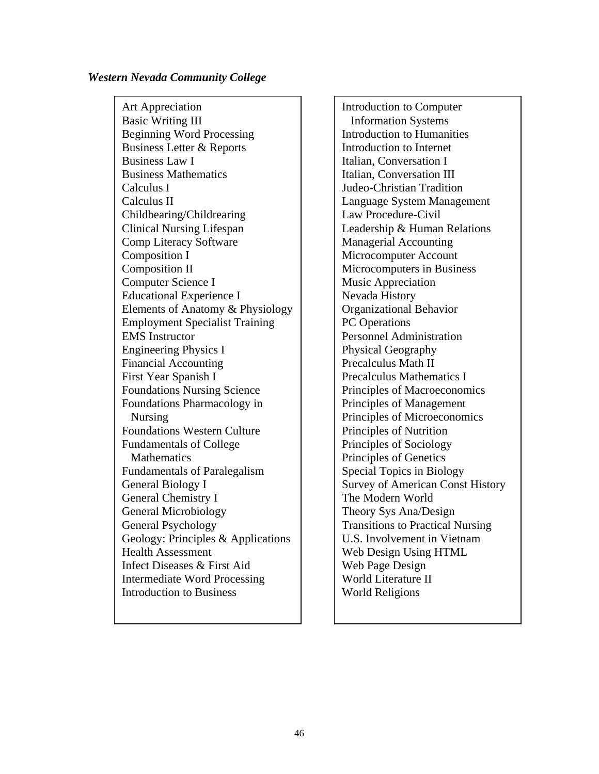#### *Western Nevada Community College*

Art Appreciation and Introduction to Computer Basic Writing III **Information Systems** Beginning Word Processing **Introduction to Humanities** Business Letter & Reports  $\parallel$  Introduction to Internet Business Law I Italian, Conversation I Business Mathematics **Italian**, Conversation III Calculus I Judeo-Christian Tradition Calculus II Language System Management Childbearing/Childrearing Law Procedure-Civil Clinical Nursing Lifespan Leadership & Human Relations Comp Literacy Software Managerial Accounting Composition I Microcomputer Account Composition II Microcomputers in Business Computer Science I Music Appreciation Educational Experience I Nevada History Elements of Anatomy  $& Physiology \mid$  | Organizational Behavior Employment Specialist Training PC Operations EMS Instructor **Personnel Administration** Engineering Physics I Physical Geography Financial Accounting Precalculus Math II First Year Spanish I Precalculus Mathematics I Foundations Nursing Science | | | Principles of Macroeconomics Foundations Pharmacology in <br>Principles of Management Nursing Principles of Microeconomics Foundations Western Culture **Principles** of Nutrition Fundamentals of College  $\parallel$  Principles of Sociology Mathematics **Principles of Genetics** Fundamentals of Paralegalism | Special Topics in Biology General Biology I Survey of American Const History General Chemistry I The Modern World General Microbiology Theory Sys Ana/Design General Psychology **Transitions** Transitions to Practical Nursing Geology: Principles & Applications  $\parallel$  U.S. Involvement in Vietnam Health Assessment Veb Design Using HTML Infect Diseases & First Aid Web Page Design Intermediate Word Processing World Literature II Introduction to Business New World Religions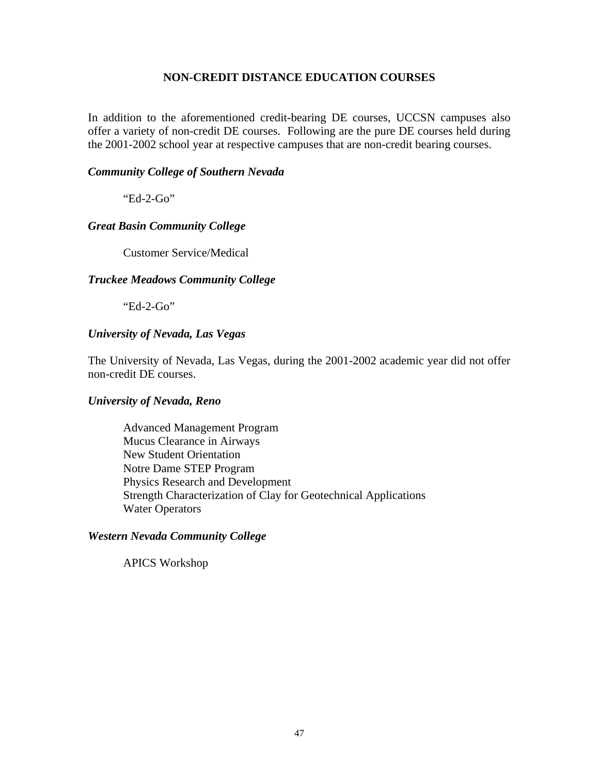## **NON-CREDIT DISTANCE EDUCATION COURSES**

In addition to the aforementioned credit-bearing DE courses, UCCSN campuses also offer a variety of non-credit DE courses. Following are the pure DE courses held during the 2001-2002 school year at respective campuses that are non-credit bearing courses.

### *Community College of Southern Nevada*

"Ed-2-Go"

# *Great Basin Community College*

Customer Service/Medical

### *Truckee Meadows Community College*

"Ed-2-Go"

# *University of Nevada, Las Vegas*

The University of Nevada, Las Vegas, during the 2001-2002 academic year did not offer non-credit DE courses.

### *University of Nevada, Reno*

Advanced Management Program Mucus Clearance in Airways New Student Orientation Notre Dame STEP Program Physics Research and Development Strength Characterization of Clay for Geotechnical Applications Water Operators

### *Western Nevada Community College*

APICS Workshop